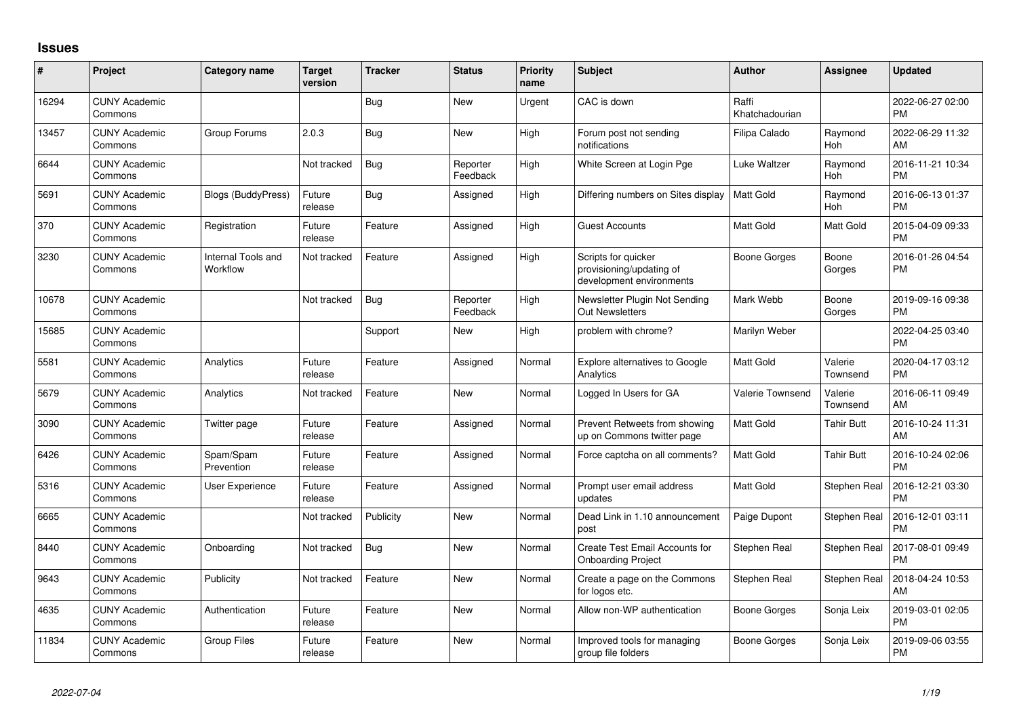## **Issues**

| #     | Project                         | <b>Category name</b>           | Target<br>version | <b>Tracker</b> | <b>Status</b>        | <b>Priority</b><br>name | <b>Subject</b>                                                              | <b>Author</b>           | <b>Assignee</b>     | <b>Updated</b>                |
|-------|---------------------------------|--------------------------------|-------------------|----------------|----------------------|-------------------------|-----------------------------------------------------------------------------|-------------------------|---------------------|-------------------------------|
| 16294 | <b>CUNY Academic</b><br>Commons |                                |                   | Bug            | <b>New</b>           | Urgent                  | CAC is down                                                                 | Raffi<br>Khatchadourian |                     | 2022-06-27 02:00<br><b>PM</b> |
| 13457 | <b>CUNY Academic</b><br>Commons | Group Forums                   | 2.0.3             | Bug            | New                  | High                    | Forum post not sending<br>notifications                                     | Filipa Calado           | Raymond<br>Hoh      | 2022-06-29 11:32<br>AM        |
| 6644  | <b>CUNY Academic</b><br>Commons |                                | Not tracked       | Bug            | Reporter<br>Feedback | High                    | White Screen at Login Pge                                                   | Luke Waltzer            | Raymond<br>Hoh      | 2016-11-21 10:34<br><b>PM</b> |
| 5691  | <b>CUNY Academic</b><br>Commons | <b>Blogs (BuddyPress)</b>      | Future<br>release | Bug            | Assigned             | High                    | Differing numbers on Sites display                                          | Matt Gold               | Raymond<br>Hoh      | 2016-06-13 01:37<br><b>PM</b> |
| 370   | <b>CUNY Academic</b><br>Commons | Registration                   | Future<br>release | Feature        | Assigned             | High                    | <b>Guest Accounts</b>                                                       | <b>Matt Gold</b>        | Matt Gold           | 2015-04-09 09:33<br><b>PM</b> |
| 3230  | <b>CUNY Academic</b><br>Commons | Internal Tools and<br>Workflow | Not tracked       | Feature        | Assigned             | High                    | Scripts for quicker<br>provisioning/updating of<br>development environments | Boone Gorges            | Boone<br>Gorges     | 2016-01-26 04:54<br><b>PM</b> |
| 10678 | <b>CUNY Academic</b><br>Commons |                                | Not tracked       | Bug            | Reporter<br>Feedback | High                    | Newsletter Plugin Not Sending<br><b>Out Newsletters</b>                     | Mark Webb               | Boone<br>Gorges     | 2019-09-16 09:38<br><b>PM</b> |
| 15685 | <b>CUNY Academic</b><br>Commons |                                |                   | Support        | New                  | High                    | problem with chrome?                                                        | Marilyn Weber           |                     | 2022-04-25 03:40<br><b>PM</b> |
| 5581  | <b>CUNY Academic</b><br>Commons | Analytics                      | Future<br>release | Feature        | Assigned             | Normal                  | <b>Explore alternatives to Google</b><br>Analytics                          | <b>Matt Gold</b>        | Valerie<br>Townsend | 2020-04-17 03:12<br><b>PM</b> |
| 5679  | <b>CUNY Academic</b><br>Commons | Analytics                      | Not tracked       | Feature        | New                  | Normal                  | Logged In Users for GA                                                      | Valerie Townsend        | Valerie<br>Townsend | 2016-06-11 09:49<br>AM        |
| 3090  | <b>CUNY Academic</b><br>Commons | Twitter page                   | Future<br>release | Feature        | Assigned             | Normal                  | Prevent Retweets from showing<br>up on Commons twitter page                 | Matt Gold               | Tahir Butt          | 2016-10-24 11:31<br>AM        |
| 6426  | <b>CUNY Academic</b><br>Commons | Spam/Spam<br>Prevention        | Future<br>release | Feature        | Assigned             | Normal                  | Force captcha on all comments?                                              | <b>Matt Gold</b>        | <b>Tahir Butt</b>   | 2016-10-24 02:06<br><b>PM</b> |
| 5316  | <b>CUNY Academic</b><br>Commons | User Experience                | Future<br>release | Feature        | Assigned             | Normal                  | Prompt user email address<br>updates                                        | <b>Matt Gold</b>        | Stephen Real        | 2016-12-21 03:30<br><b>PM</b> |
| 6665  | <b>CUNY Academic</b><br>Commons |                                | Not tracked       | Publicity      | <b>New</b>           | Normal                  | Dead Link in 1.10 announcement<br>post                                      | Paige Dupont            | Stephen Real        | 2016-12-01 03:11<br><b>PM</b> |
| 8440  | <b>CUNY Academic</b><br>Commons | Onboarding                     | Not tracked       | Bug            | New                  | Normal                  | Create Test Email Accounts for<br><b>Onboarding Project</b>                 | Stephen Real            | Stephen Real        | 2017-08-01 09:49<br><b>PM</b> |
| 9643  | <b>CUNY Academic</b><br>Commons | Publicity                      | Not tracked       | Feature        | <b>New</b>           | Normal                  | Create a page on the Commons<br>for logos etc.                              | Stephen Real            | Stephen Real        | 2018-04-24 10:53<br>AM        |
| 4635  | <b>CUNY Academic</b><br>Commons | Authentication                 | Future<br>release | Feature        | New                  | Normal                  | Allow non-WP authentication                                                 | Boone Gorges            | Sonja Leix          | 2019-03-01 02:05<br><b>PM</b> |
| 11834 | <b>CUNY Academic</b><br>Commons | <b>Group Files</b>             | Future<br>release | Feature        | <b>New</b>           | Normal                  | Improved tools for managing<br>group file folders                           | Boone Gorges            | Sonja Leix          | 2019-09-06 03:55<br><b>PM</b> |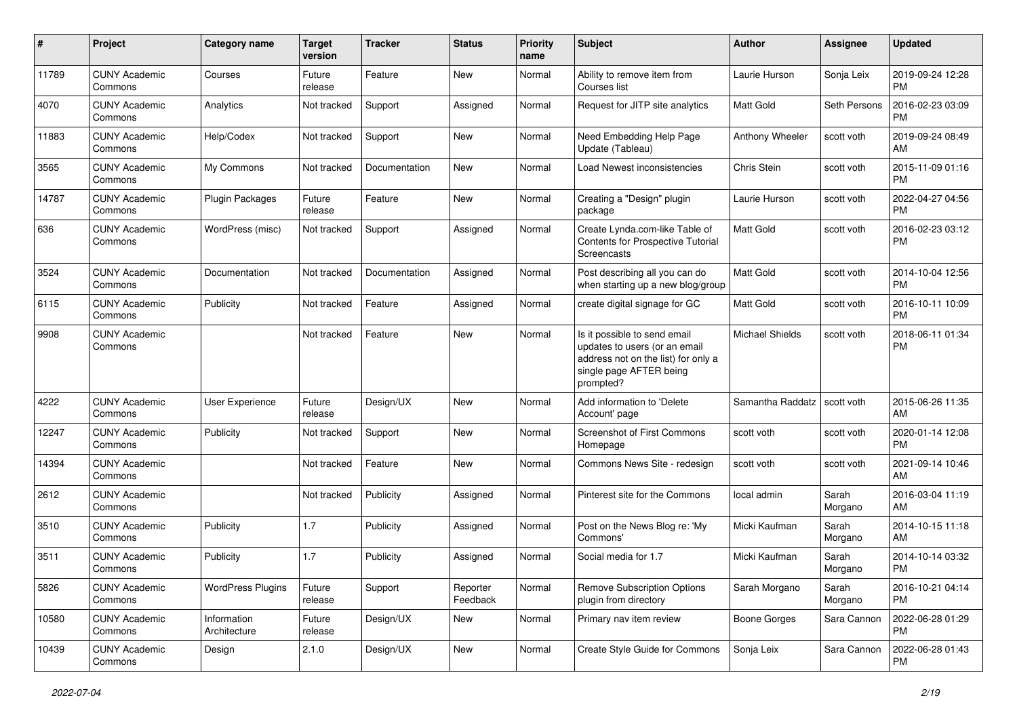| #     | Project                         | <b>Category name</b>        | <b>Target</b><br>version | <b>Tracker</b> | <b>Status</b>        | <b>Priority</b><br>name | Subject                                                                                                                                      | Author                 | Assignee         | <b>Updated</b>                |
|-------|---------------------------------|-----------------------------|--------------------------|----------------|----------------------|-------------------------|----------------------------------------------------------------------------------------------------------------------------------------------|------------------------|------------------|-------------------------------|
| 11789 | <b>CUNY Academic</b><br>Commons | Courses                     | Future<br>release        | Feature        | <b>New</b>           | Normal                  | Ability to remove item from<br>Courses list                                                                                                  | Laurie Hurson          | Sonja Leix       | 2019-09-24 12:28<br>PM        |
| 4070  | <b>CUNY Academic</b><br>Commons | Analytics                   | Not tracked              | Support        | Assigned             | Normal                  | Request for JITP site analytics                                                                                                              | <b>Matt Gold</b>       | Seth Persons     | 2016-02-23 03:09<br>PM        |
| 11883 | <b>CUNY Academic</b><br>Commons | Help/Codex                  | Not tracked              | Support        | New                  | Normal                  | Need Embedding Help Page<br>Update (Tableau)                                                                                                 | Anthony Wheeler        | scott voth       | 2019-09-24 08:49<br>AM        |
| 3565  | <b>CUNY Academic</b><br>Commons | My Commons                  | Not tracked              | Documentation  | New                  | Normal                  | Load Newest inconsistencies                                                                                                                  | Chris Stein            | scott voth       | 2015-11-09 01:16<br><b>PM</b> |
| 14787 | <b>CUNY Academic</b><br>Commons | Plugin Packages             | Future<br>release        | Feature        | <b>New</b>           | Normal                  | Creating a "Design" plugin<br>package                                                                                                        | Laurie Hurson          | scott voth       | 2022-04-27 04:56<br><b>PM</b> |
| 636   | <b>CUNY Academic</b><br>Commons | WordPress (misc)            | Not tracked              | Support        | Assigned             | Normal                  | Create Lynda.com-like Table of<br>Contents for Prospective Tutorial<br>Screencasts                                                           | Matt Gold              | scott voth       | 2016-02-23 03:12<br><b>PM</b> |
| 3524  | <b>CUNY Academic</b><br>Commons | Documentation               | Not tracked              | Documentation  | Assigned             | Normal                  | Post describing all you can do<br>when starting up a new blog/group                                                                          | <b>Matt Gold</b>       | scott voth       | 2014-10-04 12:56<br><b>PM</b> |
| 6115  | <b>CUNY Academic</b><br>Commons | Publicity                   | Not tracked              | Feature        | Assigned             | Normal                  | create digital signage for GC                                                                                                                | Matt Gold              | scott voth       | 2016-10-11 10:09<br><b>PM</b> |
| 9908  | <b>CUNY Academic</b><br>Commons |                             | Not tracked              | Feature        | <b>New</b>           | Normal                  | Is it possible to send email<br>updates to users (or an email<br>address not on the list) for only a<br>single page AFTER being<br>prompted? | <b>Michael Shields</b> | scott voth       | 2018-06-11 01:34<br><b>PM</b> |
| 4222  | <b>CUNY Academic</b><br>Commons | <b>User Experience</b>      | Future<br>release        | Design/UX      | New                  | Normal                  | Add information to 'Delete<br>Account' page                                                                                                  | Samantha Raddatz       | scott voth       | 2015-06-26 11:35<br>AM        |
| 12247 | <b>CUNY Academic</b><br>Commons | Publicity                   | Not tracked              | Support        | New                  | Normal                  | Screenshot of First Commons<br>Homepage                                                                                                      | scott voth             | scott voth       | 2020-01-14 12:08<br>PM        |
| 14394 | <b>CUNY Academic</b><br>Commons |                             | Not tracked              | Feature        | New                  | Normal                  | Commons News Site - redesign                                                                                                                 | scott voth             | scott voth       | 2021-09-14 10:46<br>AM        |
| 2612  | <b>CUNY Academic</b><br>Commons |                             | Not tracked              | Publicity      | Assigned             | Normal                  | Pinterest site for the Commons                                                                                                               | local admin            | Sarah<br>Morgano | 2016-03-04 11:19<br>AM        |
| 3510  | <b>CUNY Academic</b><br>Commons | Publicity                   | 1.7                      | Publicity      | Assigned             | Normal                  | Post on the News Blog re: 'My<br>Commons'                                                                                                    | Micki Kaufman          | Sarah<br>Morgano | 2014-10-15 11:18<br>AM        |
| 3511  | <b>CUNY Academic</b><br>Commons | Publicity                   | 1.7                      | Publicity      | Assigned             | Normal                  | Social media for 1.7                                                                                                                         | Micki Kaufman          | Sarah<br>Morgano | 2014-10-14 03:32<br><b>PM</b> |
| 5826  | <b>CUNY Academic</b><br>Commons | <b>WordPress Plugins</b>    | Future<br>release        | Support        | Reporter<br>Feedback | Normal                  | <b>Remove Subscription Options</b><br>plugin from directory                                                                                  | Sarah Morgano          | Sarah<br>Morgano | 2016-10-21 04:14<br>PM        |
| 10580 | <b>CUNY Academic</b><br>Commons | Information<br>Architecture | Future<br>release        | Design/UX      | New                  | Normal                  | Primary nav item review                                                                                                                      | Boone Gorges           | Sara Cannon      | 2022-06-28 01:29<br><b>PM</b> |
| 10439 | <b>CUNY Academic</b><br>Commons | Design                      | 2.1.0                    | Design/UX      | New                  | Normal                  | Create Style Guide for Commons                                                                                                               | Sonja Leix             | Sara Cannon      | 2022-06-28 01:43<br>PM        |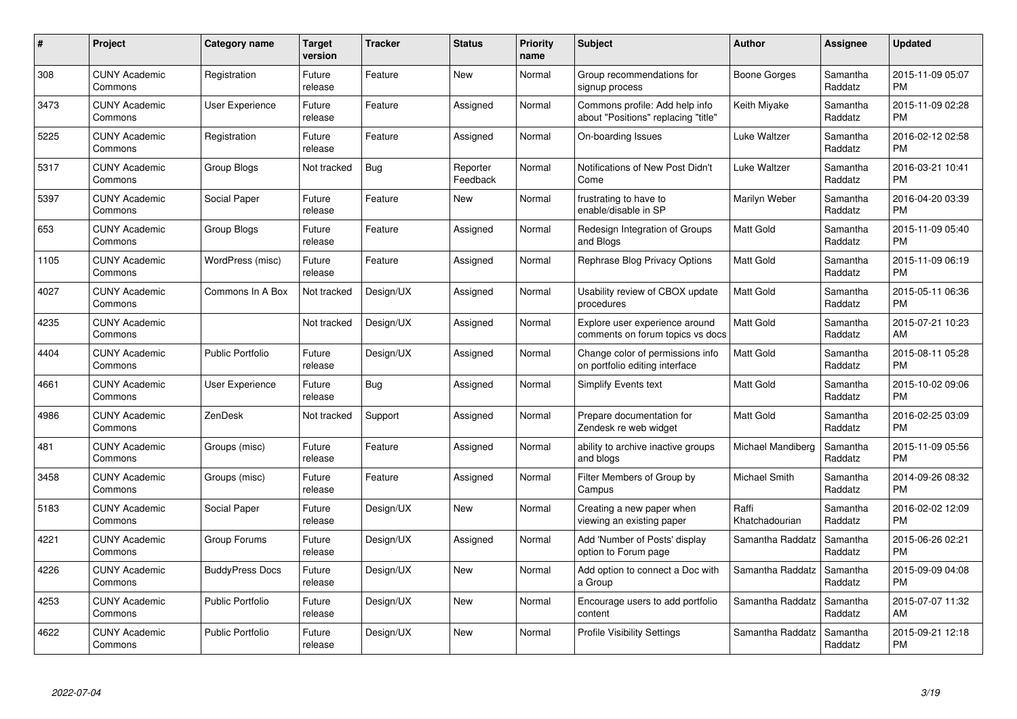| $\#$ | Project                         | <b>Category name</b>    | Target<br>version | <b>Tracker</b> | <b>Status</b>        | Priority<br>name | <b>Subject</b>                                                        | <b>Author</b>           | <b>Assignee</b>     | <b>Updated</b>                |
|------|---------------------------------|-------------------------|-------------------|----------------|----------------------|------------------|-----------------------------------------------------------------------|-------------------------|---------------------|-------------------------------|
| 308  | <b>CUNY Academic</b><br>Commons | Registration            | Future<br>release | Feature        | <b>New</b>           | Normal           | Group recommendations for<br>signup process                           | Boone Gorges            | Samantha<br>Raddatz | 2015-11-09 05:07<br><b>PM</b> |
| 3473 | <b>CUNY Academic</b><br>Commons | User Experience         | Future<br>release | Feature        | Assigned             | Normal           | Commons profile: Add help info<br>about "Positions" replacing "title" | Keith Miyake            | Samantha<br>Raddatz | 2015-11-09 02:28<br><b>PM</b> |
| 5225 | <b>CUNY Academic</b><br>Commons | Registration            | Future<br>release | Feature        | Assigned             | Normal           | On-boarding Issues                                                    | Luke Waltzer            | Samantha<br>Raddatz | 2016-02-12 02:58<br><b>PM</b> |
| 5317 | <b>CUNY Academic</b><br>Commons | Group Blogs             | Not tracked       | <b>Bug</b>     | Reporter<br>Feedback | Normal           | Notifications of New Post Didn't<br>Come                              | Luke Waltzer            | Samantha<br>Raddatz | 2016-03-21 10:41<br><b>PM</b> |
| 5397 | <b>CUNY Academic</b><br>Commons | Social Paper            | Future<br>release | Feature        | <b>New</b>           | Normal           | frustrating to have to<br>enable/disable in SP                        | Marilyn Weber           | Samantha<br>Raddatz | 2016-04-20 03:39<br><b>PM</b> |
| 653  | <b>CUNY Academic</b><br>Commons | <b>Group Blogs</b>      | Future<br>release | Feature        | Assigned             | Normal           | Redesign Integration of Groups<br>and Blogs                           | <b>Matt Gold</b>        | Samantha<br>Raddatz | 2015-11-09 05:40<br><b>PM</b> |
| 1105 | <b>CUNY Academic</b><br>Commons | WordPress (misc)        | Future<br>release | Feature        | Assigned             | Normal           | Rephrase Blog Privacy Options                                         | Matt Gold               | Samantha<br>Raddatz | 2015-11-09 06:19<br><b>PM</b> |
| 4027 | <b>CUNY Academic</b><br>Commons | Commons In A Box        | Not tracked       | Design/UX      | Assigned             | Normal           | Usability review of CBOX update<br>procedures                         | <b>Matt Gold</b>        | Samantha<br>Raddatz | 2015-05-11 06:36<br><b>PM</b> |
| 4235 | <b>CUNY Academic</b><br>Commons |                         | Not tracked       | Design/UX      | Assigned             | Normal           | Explore user experience around<br>comments on forum topics vs docs    | <b>Matt Gold</b>        | Samantha<br>Raddatz | 2015-07-21 10:23<br>AM        |
| 4404 | <b>CUNY Academic</b><br>Commons | <b>Public Portfolio</b> | Future<br>release | Design/UX      | Assigned             | Normal           | Change color of permissions info<br>on portfolio editing interface    | <b>Matt Gold</b>        | Samantha<br>Raddatz | 2015-08-11 05:28<br><b>PM</b> |
| 4661 | <b>CUNY Academic</b><br>Commons | User Experience         | Future<br>release | <b>Bug</b>     | Assigned             | Normal           | Simplify Events text                                                  | Matt Gold               | Samantha<br>Raddatz | 2015-10-02 09:06<br><b>PM</b> |
| 4986 | <b>CUNY Academic</b><br>Commons | ZenDesk                 | Not tracked       | Support        | Assigned             | Normal           | Prepare documentation for<br>Zendesk re web widget                    | Matt Gold               | Samantha<br>Raddatz | 2016-02-25 03:09<br><b>PM</b> |
| 481  | <b>CUNY Academic</b><br>Commons | Groups (misc)           | Future<br>release | Feature        | Assigned             | Normal           | ability to archive inactive groups<br>and blogs                       | Michael Mandiberg       | Samantha<br>Raddatz | 2015-11-09 05:56<br><b>PM</b> |
| 3458 | <b>CUNY Academic</b><br>Commons | Groups (misc)           | Future<br>release | Feature        | Assigned             | Normal           | Filter Members of Group by<br>Campus                                  | Michael Smith           | Samantha<br>Raddatz | 2014-09-26 08:32<br><b>PM</b> |
| 5183 | <b>CUNY Academic</b><br>Commons | Social Paper            | Future<br>release | Design/UX      | New                  | Normal           | Creating a new paper when<br>viewing an existing paper                | Raffi<br>Khatchadourian | Samantha<br>Raddatz | 2016-02-02 12:09<br><b>PM</b> |
| 4221 | <b>CUNY Academic</b><br>Commons | Group Forums            | Future<br>release | Design/UX      | Assigned             | Normal           | Add 'Number of Posts' display<br>option to Forum page                 | Samantha Raddatz        | Samantha<br>Raddatz | 2015-06-26 02:21<br><b>PM</b> |
| 4226 | <b>CUNY Academic</b><br>Commons | <b>BuddyPress Docs</b>  | Future<br>release | Design/UX      | New                  | Normal           | Add option to connect a Doc with<br>a Group                           | Samantha Raddatz        | Samantha<br>Raddatz | 2015-09-09 04:08<br><b>PM</b> |
| 4253 | <b>CUNY Academic</b><br>Commons | <b>Public Portfolio</b> | Future<br>release | Design/UX      | New                  | Normal           | Encourage users to add portfolio<br>content                           | Samantha Raddatz        | Samantha<br>Raddatz | 2015-07-07 11:32<br>AM        |
| 4622 | CUNY Academic<br>Commons        | <b>Public Portfolio</b> | Future<br>release | Design/UX      | <b>New</b>           | Normal           | <b>Profile Visibility Settings</b>                                    | Samantha Raddatz        | Samantha<br>Raddatz | 2015-09-21 12:18<br><b>PM</b> |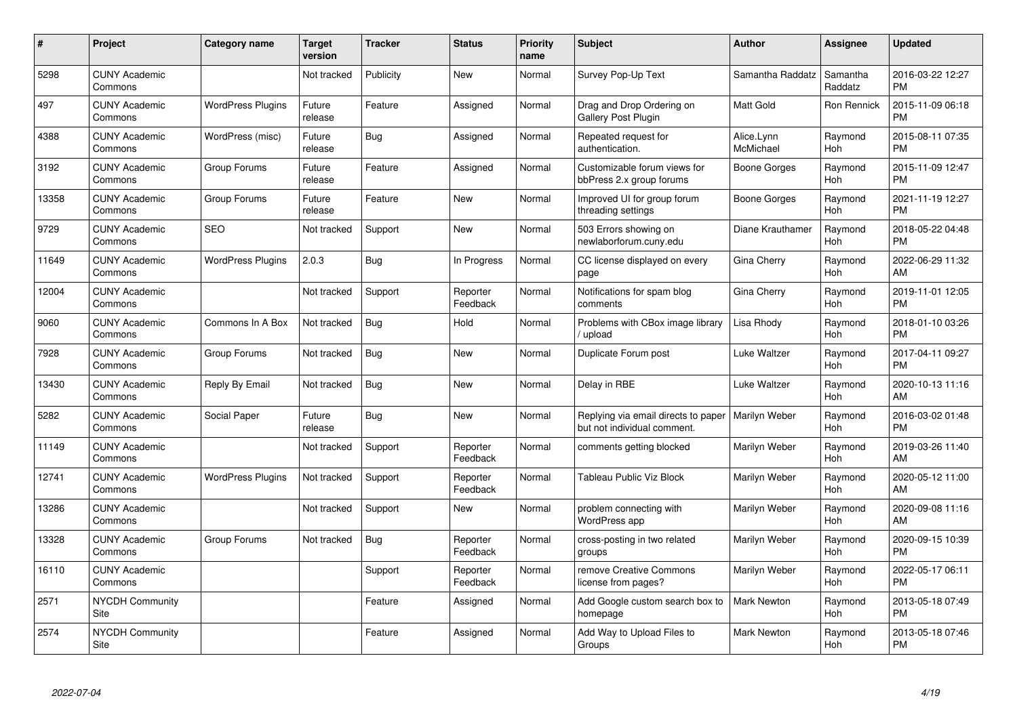| #     | Project                         | <b>Category name</b>     | <b>Target</b><br>version | <b>Tracker</b> | <b>Status</b>        | <b>Priority</b><br>name | <b>Subject</b>                                                     | <b>Author</b>           | <b>Assignee</b>     | <b>Updated</b>                |
|-------|---------------------------------|--------------------------|--------------------------|----------------|----------------------|-------------------------|--------------------------------------------------------------------|-------------------------|---------------------|-------------------------------|
| 5298  | <b>CUNY Academic</b><br>Commons |                          | Not tracked              | Publicity      | <b>New</b>           | Normal                  | Survey Pop-Up Text                                                 | Samantha Raddatz        | Samantha<br>Raddatz | 2016-03-22 12:27<br><b>PM</b> |
| 497   | <b>CUNY Academic</b><br>Commons | <b>WordPress Plugins</b> | Future<br>release        | Feature        | Assigned             | Normal                  | Drag and Drop Ordering on<br><b>Gallery Post Plugin</b>            | <b>Matt Gold</b>        | Ron Rennick         | 2015-11-09 06:18<br><b>PM</b> |
| 4388  | <b>CUNY Academic</b><br>Commons | WordPress (misc)         | Future<br>release        | Bug            | Assigned             | Normal                  | Repeated request for<br>authentication.                            | Alice.Lynn<br>McMichael | Raymond<br>Hoh      | 2015-08-11 07:35<br><b>PM</b> |
| 3192  | <b>CUNY Academic</b><br>Commons | Group Forums             | Future<br>release        | Feature        | Assigned             | Normal                  | Customizable forum views for<br>bbPress 2.x group forums           | Boone Gorges            | Raymond<br>Hoh      | 2015-11-09 12:47<br><b>PM</b> |
| 13358 | <b>CUNY Academic</b><br>Commons | Group Forums             | Future<br>release        | Feature        | <b>New</b>           | Normal                  | Improved UI for group forum<br>threading settings                  | Boone Gorges            | Raymond<br>Hoh      | 2021-11-19 12:27<br><b>PM</b> |
| 9729  | <b>CUNY Academic</b><br>Commons | <b>SEO</b>               | Not tracked              | Support        | <b>New</b>           | Normal                  | 503 Errors showing on<br>newlaborforum.cuny.edu                    | Diane Krauthamer        | Raymond<br>Hoh      | 2018-05-22 04:48<br><b>PM</b> |
| 11649 | <b>CUNY Academic</b><br>Commons | <b>WordPress Plugins</b> | 2.0.3                    | <b>Bug</b>     | In Progress          | Normal                  | CC license displayed on every<br>page                              | Gina Cherry             | Raymond<br>Hoh      | 2022-06-29 11:32<br>AM        |
| 12004 | <b>CUNY Academic</b><br>Commons |                          | Not tracked              | Support        | Reporter<br>Feedback | Normal                  | Notifications for spam blog<br>comments                            | Gina Cherry             | Raymond<br>Hoh      | 2019-11-01 12:05<br><b>PM</b> |
| 9060  | <b>CUNY Academic</b><br>Commons | Commons In A Box         | Not tracked              | Bug            | Hold                 | Normal                  | Problems with CBox image library<br>/ upload                       | Lisa Rhody              | Raymond<br>Hoh      | 2018-01-10 03:26<br><b>PM</b> |
| 7928  | <b>CUNY Academic</b><br>Commons | Group Forums             | Not tracked              | Bug            | <b>New</b>           | Normal                  | Duplicate Forum post                                               | Luke Waltzer            | Raymond<br>Hoh      | 2017-04-11 09:27<br><b>PM</b> |
| 13430 | <b>CUNY Academic</b><br>Commons | Reply By Email           | Not tracked              | Bug            | New                  | Normal                  | Delay in RBE                                                       | Luke Waltzer            | Raymond<br>Hoh      | 2020-10-13 11:16<br>AM        |
| 5282  | <b>CUNY Academic</b><br>Commons | Social Paper             | Future<br>release        | Bug            | New                  | Normal                  | Replying via email directs to paper<br>but not individual comment. | <b>Marilyn Weber</b>    | Raymond<br>Hoh      | 2016-03-02 01:48<br><b>PM</b> |
| 11149 | <b>CUNY Academic</b><br>Commons |                          | Not tracked              | Support        | Reporter<br>Feedback | Normal                  | comments getting blocked                                           | Marilyn Weber           | Raymond<br>Hoh      | 2019-03-26 11:40<br>AM        |
| 12741 | <b>CUNY Academic</b><br>Commons | <b>WordPress Plugins</b> | Not tracked              | Support        | Reporter<br>Feedback | Normal                  | Tableau Public Viz Block                                           | Marilyn Weber           | Raymond<br>Hoh      | 2020-05-12 11:00<br>AM        |
| 13286 | <b>CUNY Academic</b><br>Commons |                          | Not tracked              | Support        | New                  | Normal                  | problem connecting with<br>WordPress app                           | Marilyn Weber           | Raymond<br>Hoh      | 2020-09-08 11:16<br>AM        |
| 13328 | <b>CUNY Academic</b><br>Commons | Group Forums             | Not tracked              | Bug            | Reporter<br>Feedback | Normal                  | cross-posting in two related<br>groups                             | Marilyn Weber           | Raymond<br>Hoh      | 2020-09-15 10:39<br><b>PM</b> |
| 16110 | <b>CUNY Academic</b><br>Commons |                          |                          | Support        | Reporter<br>Feedback | Normal                  | remove Creative Commons<br>license from pages?                     | Marilyn Weber           | Raymond<br>Hoh      | 2022-05-17 06:11<br><b>PM</b> |
| 2571  | <b>NYCDH Community</b><br>Site  |                          |                          | Feature        | Assigned             | Normal                  | Add Google custom search box to<br>homepage                        | <b>Mark Newton</b>      | Raymond<br>Hoh      | 2013-05-18 07:49<br><b>PM</b> |
| 2574  | <b>NYCDH Community</b><br>Site  |                          |                          | Feature        | Assigned             | Normal                  | Add Way to Upload Files to<br>Groups                               | Mark Newton             | Raymond<br>Hoh      | 2013-05-18 07:46<br><b>PM</b> |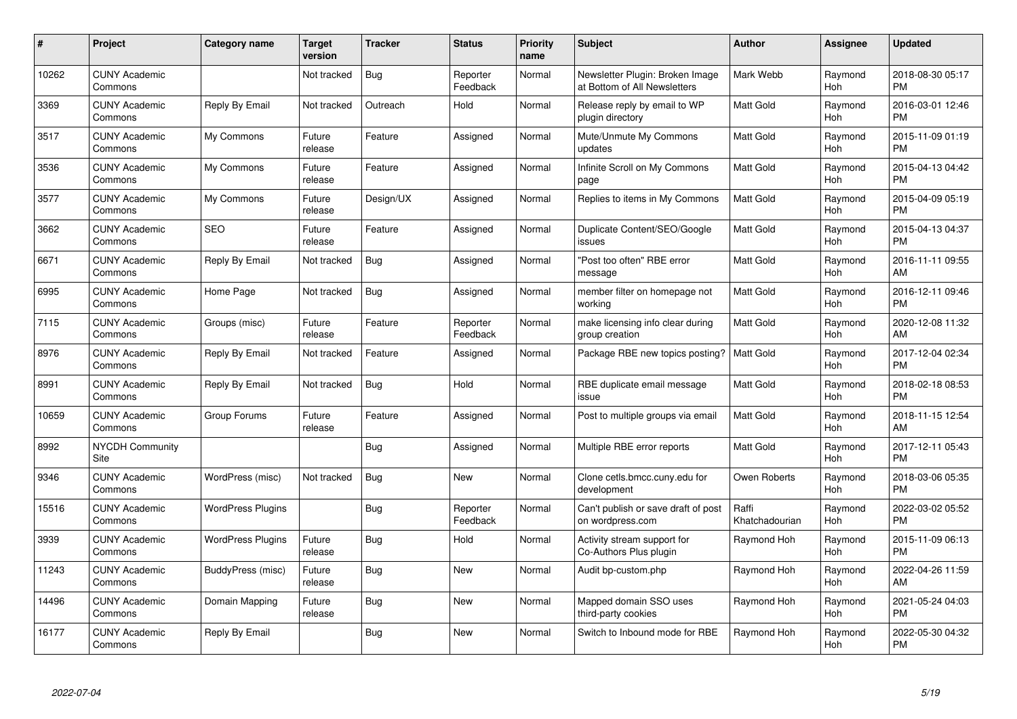| #     | Project                         | <b>Category name</b>     | <b>Target</b><br>version | <b>Tracker</b> | <b>Status</b>        | <b>Priority</b><br>name | <b>Subject</b>                                                  | <b>Author</b>           | <b>Assignee</b> | <b>Updated</b>                |
|-------|---------------------------------|--------------------------|--------------------------|----------------|----------------------|-------------------------|-----------------------------------------------------------------|-------------------------|-----------------|-------------------------------|
| 10262 | <b>CUNY Academic</b><br>Commons |                          | Not tracked              | <b>Bug</b>     | Reporter<br>Feedback | Normal                  | Newsletter Plugin: Broken Image<br>at Bottom of All Newsletters | Mark Webb               | Raymond<br>Hoh  | 2018-08-30 05:17<br><b>PM</b> |
| 3369  | <b>CUNY Academic</b><br>Commons | Reply By Email           | Not tracked              | Outreach       | Hold                 | Normal                  | Release reply by email to WP<br>plugin directory                | Matt Gold               | Raymond<br>Hoh  | 2016-03-01 12:46<br><b>PM</b> |
| 3517  | <b>CUNY Academic</b><br>Commons | My Commons               | Future<br>release        | Feature        | Assigned             | Normal                  | Mute/Unmute My Commons<br>updates                               | <b>Matt Gold</b>        | Raymond<br>Hoh  | 2015-11-09 01:19<br><b>PM</b> |
| 3536  | <b>CUNY Academic</b><br>Commons | My Commons               | Future<br>release        | Feature        | Assigned             | Normal                  | Infinite Scroll on My Commons<br>page                           | <b>Matt Gold</b>        | Raymond<br>Hoh  | 2015-04-13 04:42<br><b>PM</b> |
| 3577  | <b>CUNY Academic</b><br>Commons | My Commons               | Future<br>release        | Design/UX      | Assigned             | Normal                  | Replies to items in My Commons                                  | <b>Matt Gold</b>        | Raymond<br>Hoh  | 2015-04-09 05:19<br><b>PM</b> |
| 3662  | <b>CUNY Academic</b><br>Commons | <b>SEO</b>               | Future<br>release        | Feature        | Assigned             | Normal                  | Duplicate Content/SEO/Google<br>issues                          | Matt Gold               | Raymond<br>Hoh  | 2015-04-13 04:37<br><b>PM</b> |
| 6671  | <b>CUNY Academic</b><br>Commons | Reply By Email           | Not tracked              | <b>Bug</b>     | Assigned             | Normal                  | "Post too often" RBE error<br>message                           | <b>Matt Gold</b>        | Raymond<br>Hoh  | 2016-11-11 09:55<br>AM        |
| 6995  | <b>CUNY Academic</b><br>Commons | Home Page                | Not tracked              | Bug            | Assigned             | Normal                  | member filter on homepage not<br>working                        | <b>Matt Gold</b>        | Raymond<br>Hoh  | 2016-12-11 09:46<br><b>PM</b> |
| 7115  | <b>CUNY Academic</b><br>Commons | Groups (misc)            | Future<br>release        | Feature        | Reporter<br>Feedback | Normal                  | make licensing info clear during<br>group creation              | <b>Matt Gold</b>        | Raymond<br>Hoh  | 2020-12-08 11:32<br>AM        |
| 8976  | <b>CUNY Academic</b><br>Commons | Reply By Email           | Not tracked              | Feature        | Assigned             | Normal                  | Package RBE new topics posting?                                 | <b>Matt Gold</b>        | Raymond<br>Hoh  | 2017-12-04 02:34<br><b>PM</b> |
| 8991  | <b>CUNY Academic</b><br>Commons | Reply By Email           | Not tracked              | Bug            | Hold                 | Normal                  | RBE duplicate email message<br>issue                            | Matt Gold               | Raymond<br>Hoh  | 2018-02-18 08:53<br><b>PM</b> |
| 10659 | <b>CUNY Academic</b><br>Commons | Group Forums             | Future<br>release        | Feature        | Assigned             | Normal                  | Post to multiple groups via email                               | <b>Matt Gold</b>        | Raymond<br>Hoh  | 2018-11-15 12:54<br>AM        |
| 8992  | <b>NYCDH Community</b><br>Site  |                          |                          | Bug            | Assigned             | Normal                  | Multiple RBE error reports                                      | <b>Matt Gold</b>        | Raymond<br>Hoh  | 2017-12-11 05:43<br><b>PM</b> |
| 9346  | <b>CUNY Academic</b><br>Commons | WordPress (misc)         | Not tracked              | Bug            | New                  | Normal                  | Clone cetls.bmcc.cuny.edu for<br>development                    | Owen Roberts            | Raymond<br>Hoh  | 2018-03-06 05:35<br><b>PM</b> |
| 15516 | <b>CUNY Academic</b><br>Commons | <b>WordPress Plugins</b> |                          | <b>Bug</b>     | Reporter<br>Feedback | Normal                  | Can't publish or save draft of post<br>on wordpress.com         | Raffi<br>Khatchadourian | Raymond<br>Hoh  | 2022-03-02 05:52<br><b>PM</b> |
| 3939  | <b>CUNY Academic</b><br>Commons | <b>WordPress Plugins</b> | Future<br>release        | Bug            | Hold                 | Normal                  | Activity stream support for<br>Co-Authors Plus plugin           | Raymond Hoh             | Raymond<br>Hoh  | 2015-11-09 06:13<br><b>PM</b> |
| 11243 | <b>CUNY Academic</b><br>Commons | BuddyPress (misc)        | Future<br>release        | Bug            | <b>New</b>           | Normal                  | Audit bp-custom.php                                             | Raymond Hoh             | Raymond<br>Hoh  | 2022-04-26 11:59<br>AM        |
| 14496 | <b>CUNY Academic</b><br>Commons | Domain Mapping           | Future<br>release        | <b>Bug</b>     | New                  | Normal                  | Mapped domain SSO uses<br>third-party cookies                   | Raymond Hoh             | Raymond<br>Hoh  | 2021-05-24 04:03<br><b>PM</b> |
| 16177 | <b>CUNY Academic</b><br>Commons | Reply By Email           |                          | Bug            | <b>New</b>           | Normal                  | Switch to Inbound mode for RBE                                  | Raymond Hoh             | Raymond<br>Hoh  | 2022-05-30 04:32<br><b>PM</b> |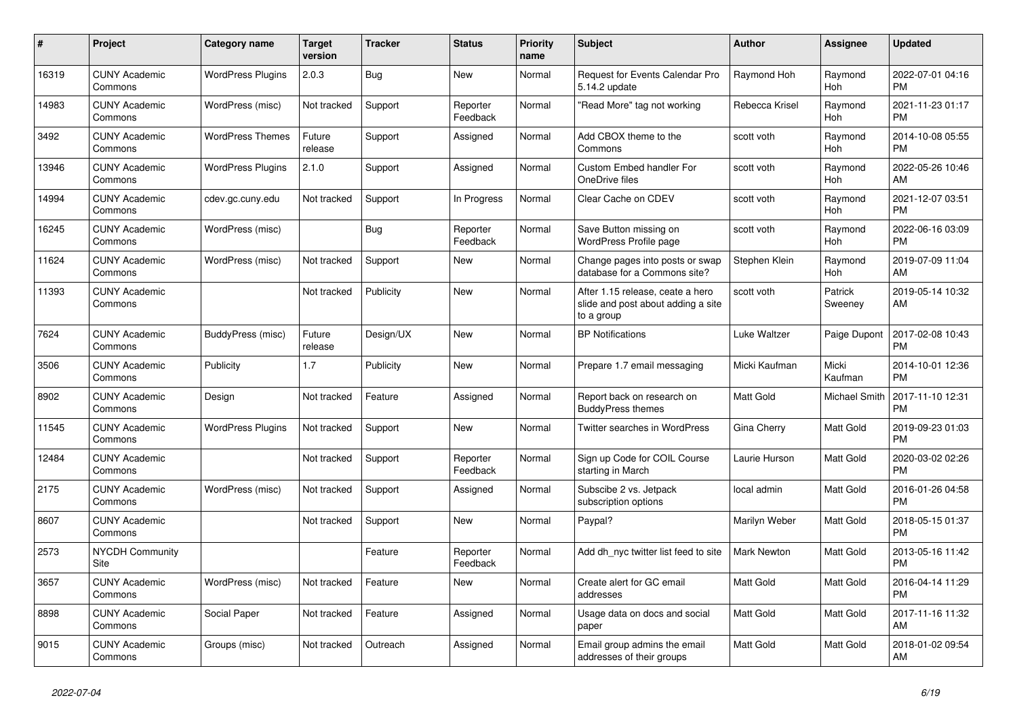| #     | <b>Project</b>                  | Category name            | <b>Target</b><br>version | <b>Tracker</b> | <b>Status</b>        | <b>Priority</b><br>name | <b>Subject</b>                                                                       | <b>Author</b>      | Assignee           | <b>Updated</b>                |
|-------|---------------------------------|--------------------------|--------------------------|----------------|----------------------|-------------------------|--------------------------------------------------------------------------------------|--------------------|--------------------|-------------------------------|
| 16319 | <b>CUNY Academic</b><br>Commons | <b>WordPress Plugins</b> | 2.0.3                    | <b>Bug</b>     | New                  | Normal                  | Request for Events Calendar Pro<br>5.14.2 update                                     | Raymond Hoh        | Raymond<br>Hoh     | 2022-07-01 04:16<br><b>PM</b> |
| 14983 | <b>CUNY Academic</b><br>Commons | WordPress (misc)         | Not tracked              | Support        | Reporter<br>Feedback | Normal                  | "Read More" tag not working                                                          | Rebecca Krisel     | Raymond<br>Hoh     | 2021-11-23 01:17<br><b>PM</b> |
| 3492  | <b>CUNY Academic</b><br>Commons | <b>WordPress Themes</b>  | Future<br>release        | Support        | Assigned             | Normal                  | Add CBOX theme to the<br>Commons                                                     | scott voth         | Raymond<br>Hoh     | 2014-10-08 05:55<br><b>PM</b> |
| 13946 | <b>CUNY Academic</b><br>Commons | <b>WordPress Plugins</b> | 2.1.0                    | Support        | Assigned             | Normal                  | Custom Embed handler For<br>OneDrive files                                           | scott voth         | Raymond<br>Hoh     | 2022-05-26 10:46<br>AM        |
| 14994 | <b>CUNY Academic</b><br>Commons | cdev.gc.cuny.edu         | Not tracked              | Support        | In Progress          | Normal                  | Clear Cache on CDEV                                                                  | scott voth         | Raymond<br>Hoh     | 2021-12-07 03:51<br><b>PM</b> |
| 16245 | <b>CUNY Academic</b><br>Commons | WordPress (misc)         |                          | Bug            | Reporter<br>Feedback | Normal                  | Save Button missing on<br>WordPress Profile page                                     | scott voth         | Raymond<br>Hoh     | 2022-06-16 03:09<br><b>PM</b> |
| 11624 | <b>CUNY Academic</b><br>Commons | WordPress (misc)         | Not tracked              | Support        | New                  | Normal                  | Change pages into posts or swap<br>database for a Commons site?                      | Stephen Klein      | Raymond<br>Hoh     | 2019-07-09 11:04<br>AM        |
| 11393 | <b>CUNY Academic</b><br>Commons |                          | Not tracked              | Publicity      | <b>New</b>           | Normal                  | After 1.15 release, ceate a hero<br>slide and post about adding a site<br>to a group | scott voth         | Patrick<br>Sweeney | 2019-05-14 10:32<br>AM        |
| 7624  | <b>CUNY Academic</b><br>Commons | BuddyPress (misc)        | Future<br>release        | Design/UX      | <b>New</b>           | Normal                  | <b>BP Notifications</b>                                                              | Luke Waltzer       | Paige Dupont       | 2017-02-08 10:43<br><b>PM</b> |
| 3506  | <b>CUNY Academic</b><br>Commons | Publicity                | 1.7                      | Publicity      | <b>New</b>           | Normal                  | Prepare 1.7 email messaging                                                          | Micki Kaufman      | Micki<br>Kaufman   | 2014-10-01 12:36<br><b>PM</b> |
| 8902  | <b>CUNY Academic</b><br>Commons | Design                   | Not tracked              | Feature        | Assigned             | Normal                  | Report back on research on<br><b>BuddyPress themes</b>                               | <b>Matt Gold</b>   | Michael Smith      | 2017-11-10 12:31<br><b>PM</b> |
| 11545 | <b>CUNY Academic</b><br>Commons | <b>WordPress Plugins</b> | Not tracked              | Support        | New                  | Normal                  | Twitter searches in WordPress                                                        | Gina Cherry        | Matt Gold          | 2019-09-23 01:03<br><b>PM</b> |
| 12484 | <b>CUNY Academic</b><br>Commons |                          | Not tracked              | Support        | Reporter<br>Feedback | Normal                  | Sign up Code for COIL Course<br>starting in March                                    | Laurie Hurson      | Matt Gold          | 2020-03-02 02:26<br><b>PM</b> |
| 2175  | <b>CUNY Academic</b><br>Commons | WordPress (misc)         | Not tracked              | Support        | Assigned             | Normal                  | Subscibe 2 vs. Jetpack<br>subscription options                                       | local admin        | Matt Gold          | 2016-01-26 04:58<br><b>PM</b> |
| 8607  | <b>CUNY Academic</b><br>Commons |                          | Not tracked              | Support        | New                  | Normal                  | Paypal?                                                                              | Marilyn Weber      | Matt Gold          | 2018-05-15 01:37<br><b>PM</b> |
| 2573  | NYCDH Community<br>Site         |                          |                          | Feature        | Reporter<br>Feedback | Normal                  | Add dh_nyc twitter list feed to site                                                 | <b>Mark Newton</b> | Matt Gold          | 2013-05-16 11:42<br><b>PM</b> |
| 3657  | <b>CUNY Academic</b><br>Commons | WordPress (misc)         | Not tracked              | Feature        | <b>New</b>           | Normal                  | Create alert for GC email<br>addresses                                               | Matt Gold          | Matt Gold          | 2016-04-14 11:29<br><b>PM</b> |
| 8898  | <b>CUNY Academic</b><br>Commons | Social Paper             | Not tracked              | Feature        | Assigned             | Normal                  | Usage data on docs and social<br>paper                                               | <b>Matt Gold</b>   | Matt Gold          | 2017-11-16 11:32<br>AM        |
| 9015  | <b>CUNY Academic</b><br>Commons | Groups (misc)            | Not tracked              | Outreach       | Assigned             | Normal                  | Email group admins the email<br>addresses of their groups                            | Matt Gold          | Matt Gold          | 2018-01-02 09:54<br>AM        |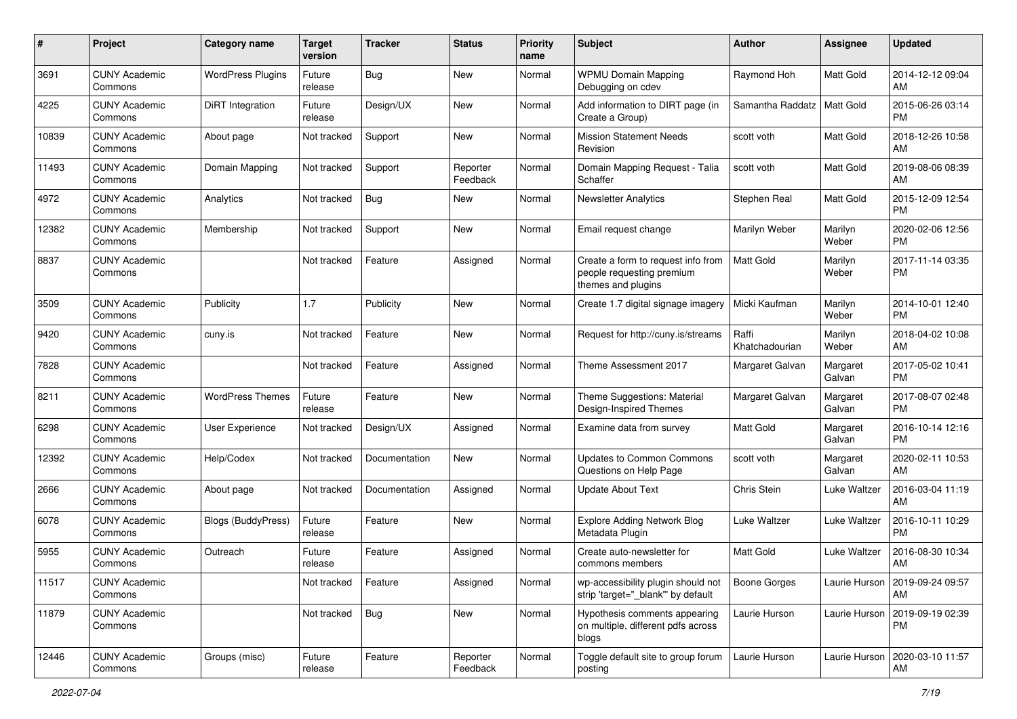| #     | Project                         | <b>Category name</b>      | <b>Target</b><br>version | <b>Tracker</b> | <b>Status</b>        | Priority<br>name | <b>Subject</b>                                                                        | Author                  | <b>Assignee</b>    | <b>Updated</b>                         |
|-------|---------------------------------|---------------------------|--------------------------|----------------|----------------------|------------------|---------------------------------------------------------------------------------------|-------------------------|--------------------|----------------------------------------|
| 3691  | <b>CUNY Academic</b><br>Commons | <b>WordPress Plugins</b>  | Future<br>release        | Bug            | <b>New</b>           | Normal           | <b>WPMU Domain Mapping</b><br>Debugging on cdev                                       | Raymond Hoh             | Matt Gold          | 2014-12-12 09:04<br>AM                 |
| 4225  | <b>CUNY Academic</b><br>Commons | DiRT Integration          | Future<br>release        | Design/UX      | New                  | Normal           | Add information to DIRT page (in<br>Create a Group)                                   | Samantha Raddatz        | <b>Matt Gold</b>   | 2015-06-26 03:14<br><b>PM</b>          |
| 10839 | <b>CUNY Academic</b><br>Commons | About page                | Not tracked              | Support        | <b>New</b>           | Normal           | <b>Mission Statement Needs</b><br>Revision                                            | scott voth              | Matt Gold          | 2018-12-26 10:58<br>AM                 |
| 11493 | <b>CUNY Academic</b><br>Commons | Domain Mapping            | Not tracked              | Support        | Reporter<br>Feedback | Normal           | Domain Mapping Request - Talia<br>Schaffer                                            | scott voth              | Matt Gold          | 2019-08-06 08:39<br>AM                 |
| 4972  | <b>CUNY Academic</b><br>Commons | Analytics                 | Not tracked              | Bug            | New                  | Normal           | <b>Newsletter Analytics</b>                                                           | Stephen Real            | Matt Gold          | 2015-12-09 12:54<br><b>PM</b>          |
| 12382 | <b>CUNY Academic</b><br>Commons | Membership                | Not tracked              | Support        | New                  | Normal           | Email request change                                                                  | Marilyn Weber           | Marilyn<br>Weber   | 2020-02-06 12:56<br><b>PM</b>          |
| 8837  | <b>CUNY Academic</b><br>Commons |                           | Not tracked              | Feature        | Assigned             | Normal           | Create a form to request info from<br>people requesting premium<br>themes and plugins | <b>Matt Gold</b>        | Marilyn<br>Weber   | 2017-11-14 03:35<br><b>PM</b>          |
| 3509  | <b>CUNY Academic</b><br>Commons | Publicity                 | 1.7                      | Publicity      | <b>New</b>           | Normal           | Create 1.7 digital signage imagery                                                    | Micki Kaufman           | Marilyn<br>Weber   | 2014-10-01 12:40<br><b>PM</b>          |
| 9420  | <b>CUNY Academic</b><br>Commons | cuny.is                   | Not tracked              | Feature        | <b>New</b>           | Normal           | Request for http://cuny.is/streams                                                    | Raffi<br>Khatchadourian | Marilyn<br>Weber   | 2018-04-02 10:08<br>AM                 |
| 7828  | <b>CUNY Academic</b><br>Commons |                           | Not tracked              | Feature        | Assigned             | Normal           | Theme Assessment 2017                                                                 | Margaret Galvan         | Margaret<br>Galvan | 2017-05-02 10:41<br><b>PM</b>          |
| 8211  | <b>CUNY Academic</b><br>Commons | <b>WordPress Themes</b>   | Future<br>release        | Feature        | New                  | Normal           | Theme Suggestions: Material<br>Design-Inspired Themes                                 | Margaret Galvan         | Margaret<br>Galvan | 2017-08-07 02:48<br><b>PM</b>          |
| 6298  | <b>CUNY Academic</b><br>Commons | User Experience           | Not tracked              | Design/UX      | Assigned             | Normal           | Examine data from survey                                                              | <b>Matt Gold</b>        | Margaret<br>Galvan | 2016-10-14 12:16<br><b>PM</b>          |
| 12392 | <b>CUNY Academic</b><br>Commons | Help/Codex                | Not tracked              | Documentation  | <b>New</b>           | Normal           | <b>Updates to Common Commons</b><br>Questions on Help Page                            | scott voth              | Margaret<br>Galvan | 2020-02-11 10:53<br>AM                 |
| 2666  | <b>CUNY Academic</b><br>Commons | About page                | Not tracked              | Documentation  | Assigned             | Normal           | <b>Update About Text</b>                                                              | Chris Stein             | Luke Waltzer       | 2016-03-04 11:19<br>AM                 |
| 6078  | <b>CUNY Academic</b><br>Commons | <b>Blogs (BuddyPress)</b> | Future<br>release        | Feature        | New                  | Normal           | <b>Explore Adding Network Blog</b><br>Metadata Plugin                                 | Luke Waltzer            | Luke Waltzer       | 2016-10-11 10:29<br><b>PM</b>          |
| 5955  | <b>CUNY Academic</b><br>Commons | Outreach                  | Future<br>release        | Feature        | Assigned             | Normal           | Create auto-newsletter for<br>commons members                                         | Matt Gold               | Luke Waltzer       | 2016-08-30 10:34<br>AM                 |
| 11517 | <b>CUNY Academic</b><br>Commons |                           | Not tracked              | Feature        | Assigned             | Normal           | wp-accessibility plugin should not<br>strip 'target=" blank" by default               | Boone Gorges            |                    | Laurie Hurson   2019-09-24 09:57<br>AM |
| 11879 | <b>CUNY Academic</b><br>Commons |                           | Not tracked              | Bug            | New                  | Normal           | Hypothesis comments appearing<br>on multiple, different pdfs across<br>blogs          | Laurie Hurson           | Laurie Hurson      | 2019-09-19 02:39<br><b>PM</b>          |
| 12446 | <b>CUNY Academic</b><br>Commons | Groups (misc)             | Future<br>release        | Feature        | Reporter<br>Feedback | Normal           | Toggle default site to group forum<br>posting                                         | Laurie Hurson           | Laurie Hurson      | 2020-03-10 11:57<br>AM                 |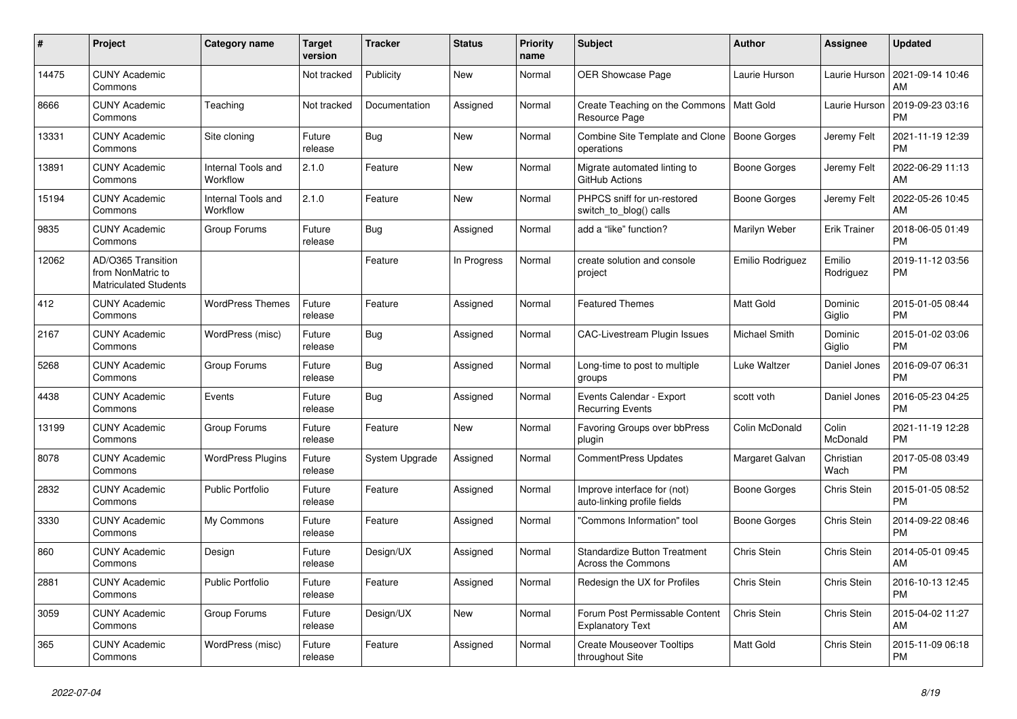| $\#$  | Project                                                                 | <b>Category name</b>           | <b>Target</b><br>version | <b>Tracker</b> | <b>Status</b> | Priority<br>name | <b>Subject</b>                                                   | <b>Author</b>    | <b>Assignee</b>     | <b>Updated</b>                |
|-------|-------------------------------------------------------------------------|--------------------------------|--------------------------|----------------|---------------|------------------|------------------------------------------------------------------|------------------|---------------------|-------------------------------|
| 14475 | <b>CUNY Academic</b><br>Commons                                         |                                | Not tracked              | Publicity      | New           | Normal           | <b>OER Showcase Page</b>                                         | Laurie Hurson    | Laurie Hurson       | 2021-09-14 10:46<br>AM        |
| 8666  | <b>CUNY Academic</b><br>Commons                                         | Teaching                       | Not tracked              | Documentation  | Assigned      | Normal           | Create Teaching on the Commons<br>Resource Page                  | Matt Gold        | Laurie Hurson       | 2019-09-23 03:16<br><b>PM</b> |
| 13331 | <b>CUNY Academic</b><br>Commons                                         | Site cloning                   | Future<br>release        | <b>Bug</b>     | <b>New</b>    | Normal           | Combine Site Template and Clone<br>operations                    | Boone Gorges     | Jeremy Felt         | 2021-11-19 12:39<br><b>PM</b> |
| 13891 | <b>CUNY Academic</b><br>Commons                                         | Internal Tools and<br>Workflow | 2.1.0                    | Feature        | <b>New</b>    | Normal           | Migrate automated linting to<br>GitHub Actions                   | Boone Gorges     | Jeremy Felt         | 2022-06-29 11:13<br>AM        |
| 15194 | <b>CUNY Academic</b><br>Commons                                         | Internal Tools and<br>Workflow | 2.1.0                    | Feature        | New           | Normal           | PHPCS sniff for un-restored<br>switch_to_blog() calls            | Boone Gorges     | Jeremy Felt         | 2022-05-26 10:45<br>AM        |
| 9835  | <b>CUNY Academic</b><br>Commons                                         | Group Forums                   | Future<br>release        | <b>Bug</b>     | Assigned      | Normal           | add a "like" function?                                           | Marilyn Weber    | Erik Trainer        | 2018-06-05 01:49<br><b>PM</b> |
| 12062 | AD/O365 Transition<br>from NonMatric to<br><b>Matriculated Students</b> |                                |                          | Feature        | In Progress   | Normal           | create solution and console<br>project                           | Emilio Rodriguez | Emilio<br>Rodriguez | 2019-11-12 03:56<br><b>PM</b> |
| 412   | <b>CUNY Academic</b><br>Commons                                         | <b>WordPress Themes</b>        | Future<br>release        | Feature        | Assigned      | Normal           | <b>Featured Themes</b>                                           | Matt Gold        | Dominic<br>Giglio   | 2015-01-05 08:44<br><b>PM</b> |
| 2167  | <b>CUNY Academic</b><br>Commons                                         | WordPress (misc)               | Future<br>release        | Bug            | Assigned      | Normal           | <b>CAC-Livestream Plugin Issues</b>                              | Michael Smith    | Dominic<br>Giglio   | 2015-01-02 03:06<br><b>PM</b> |
| 5268  | <b>CUNY Academic</b><br>Commons                                         | Group Forums                   | Future<br>release        | <b>Bug</b>     | Assigned      | Normal           | Long-time to post to multiple<br>groups                          | Luke Waltzer     | Daniel Jones        | 2016-09-07 06:31<br><b>PM</b> |
| 4438  | <b>CUNY Academic</b><br>Commons                                         | Events                         | Future<br>release        | Bug            | Assigned      | Normal           | Events Calendar - Export<br><b>Recurring Events</b>              | scott voth       | Daniel Jones        | 2016-05-23 04:25<br><b>PM</b> |
| 13199 | <b>CUNY Academic</b><br>Commons                                         | Group Forums                   | Future<br>release        | Feature        | <b>New</b>    | Normal           | Favoring Groups over bbPress<br>plugin                           | Colin McDonald   | Colin<br>McDonald   | 2021-11-19 12:28<br><b>PM</b> |
| 8078  | <b>CUNY Academic</b><br>Commons                                         | <b>WordPress Plugins</b>       | Future<br>release        | System Upgrade | Assigned      | Normal           | <b>CommentPress Updates</b>                                      | Margaret Galvan  | Christian<br>Wach   | 2017-05-08 03:49<br><b>PM</b> |
| 2832  | <b>CUNY Academic</b><br>Commons                                         | <b>Public Portfolio</b>        | Future<br>release        | Feature        | Assigned      | Normal           | Improve interface for (not)<br>auto-linking profile fields       | Boone Gorges     | Chris Stein         | 2015-01-05 08:52<br><b>PM</b> |
| 3330  | <b>CUNY Academic</b><br>Commons                                         | My Commons                     | Future<br>release        | Feature        | Assigned      | Normal           | "Commons Information" tool                                       | Boone Gorges     | Chris Stein         | 2014-09-22 08:46<br><b>PM</b> |
| 860   | <b>CUNY Academic</b><br>Commons                                         | Design                         | Future<br>release        | Design/UX      | Assigned      | Normal           | <b>Standardize Button Treatment</b><br><b>Across the Commons</b> | Chris Stein      | Chris Stein         | 2014-05-01 09:45<br>AM        |
| 2881  | <b>CUNY Academic</b><br>Commons                                         | <b>Public Portfolio</b>        | Future<br>release        | Feature        | Assigned      | Normal           | Redesign the UX for Profiles                                     | Chris Stein      | Chris Stein         | 2016-10-13 12:45<br><b>PM</b> |
| 3059  | <b>CUNY Academic</b><br>Commons                                         | Group Forums                   | Future<br>release        | Design/UX      | New           | Normal           | Forum Post Permissable Content<br><b>Explanatory Text</b>        | Chris Stein      | Chris Stein         | 2015-04-02 11:27<br>AM        |
| 365   | <b>CUNY Academic</b><br>Commons                                         | WordPress (misc)               | Future<br>release        | Feature        | Assigned      | Normal           | <b>Create Mouseover Tooltips</b><br>throughout Site              | Matt Gold        | Chris Stein         | 2015-11-09 06:18<br><b>PM</b> |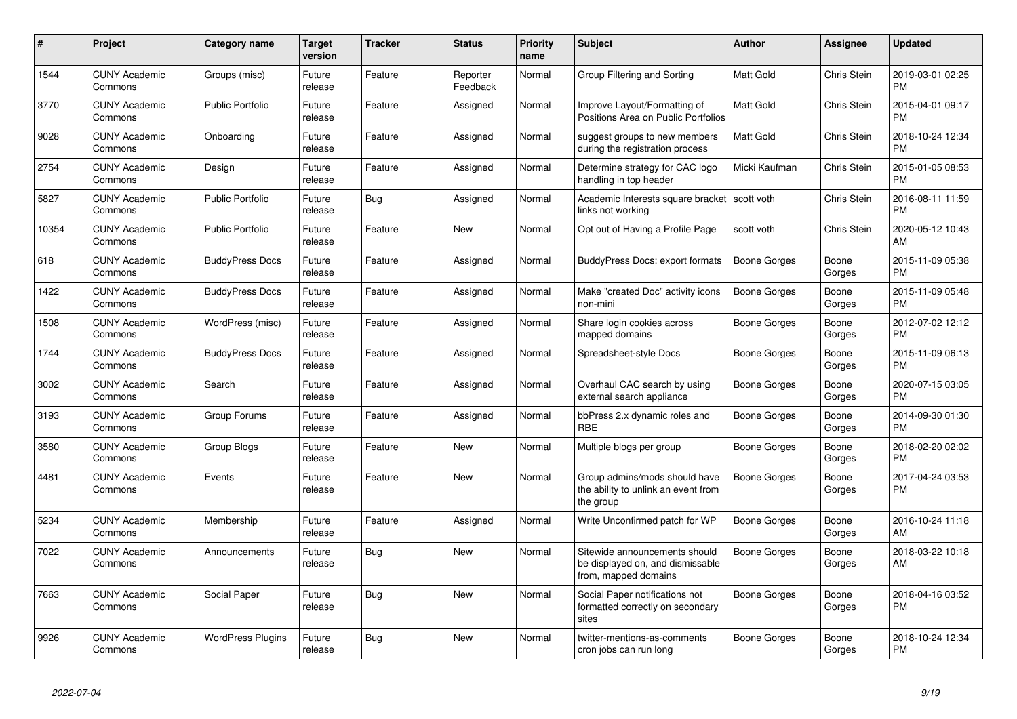| #     | <b>Project</b>                  | Category name            | Target<br>version | <b>Tracker</b> | <b>Status</b>        | <b>Priority</b><br>name | <b>Subject</b>                                                                            | <b>Author</b>       | Assignee        | <b>Updated</b>                |
|-------|---------------------------------|--------------------------|-------------------|----------------|----------------------|-------------------------|-------------------------------------------------------------------------------------------|---------------------|-----------------|-------------------------------|
| 1544  | <b>CUNY Academic</b><br>Commons | Groups (misc)            | Future<br>release | Feature        | Reporter<br>Feedback | Normal                  | Group Filtering and Sorting                                                               | <b>Matt Gold</b>    | Chris Stein     | 2019-03-01 02:25<br><b>PM</b> |
| 3770  | <b>CUNY Academic</b><br>Commons | Public Portfolio         | Future<br>release | Feature        | Assigned             | Normal                  | Improve Layout/Formatting of<br>Positions Area on Public Portfolios                       | <b>Matt Gold</b>    | Chris Stein     | 2015-04-01 09:17<br><b>PM</b> |
| 9028  | <b>CUNY Academic</b><br>Commons | Onboarding               | Future<br>release | Feature        | Assigned             | Normal                  | suggest groups to new members<br>during the registration process                          | Matt Gold           | Chris Stein     | 2018-10-24 12:34<br><b>PM</b> |
| 2754  | <b>CUNY Academic</b><br>Commons | Design                   | Future<br>release | Feature        | Assigned             | Normal                  | Determine strategy for CAC logo<br>handling in top header                                 | Micki Kaufman       | Chris Stein     | 2015-01-05 08:53<br><b>PM</b> |
| 5827  | <b>CUNY Academic</b><br>Commons | <b>Public Portfolio</b>  | Future<br>release | Bug            | Assigned             | Normal                  | Academic Interests square bracket<br>links not working                                    | scott voth          | Chris Stein     | 2016-08-11 11:59<br><b>PM</b> |
| 10354 | <b>CUNY Academic</b><br>Commons | <b>Public Portfolio</b>  | Future<br>release | Feature        | New                  | Normal                  | Opt out of Having a Profile Page                                                          | scott voth          | Chris Stein     | 2020-05-12 10:43<br>AM.       |
| 618   | <b>CUNY Academic</b><br>Commons | <b>BuddyPress Docs</b>   | Future<br>release | Feature        | Assigned             | Normal                  | BuddyPress Docs: export formats                                                           | <b>Boone Gorges</b> | Boone<br>Gorges | 2015-11-09 05:38<br><b>PM</b> |
| 1422  | <b>CUNY Academic</b><br>Commons | <b>BuddyPress Docs</b>   | Future<br>release | Feature        | Assigned             | Normal                  | Make "created Doc" activity icons<br>non-mini                                             | Boone Gorges        | Boone<br>Gorges | 2015-11-09 05:48<br><b>PM</b> |
| 1508  | <b>CUNY Academic</b><br>Commons | WordPress (misc)         | Future<br>release | Feature        | Assigned             | Normal                  | Share login cookies across<br>mapped domains                                              | Boone Gorges        | Boone<br>Gorges | 2012-07-02 12:12<br><b>PM</b> |
| 1744  | <b>CUNY Academic</b><br>Commons | <b>BuddyPress Docs</b>   | Future<br>release | Feature        | Assigned             | Normal                  | Spreadsheet-style Docs                                                                    | Boone Gorges        | Boone<br>Gorges | 2015-11-09 06:13<br><b>PM</b> |
| 3002  | <b>CUNY Academic</b><br>Commons | Search                   | Future<br>release | Feature        | Assigned             | Normal                  | Overhaul CAC search by using<br>external search appliance                                 | Boone Gorges        | Boone<br>Gorges | 2020-07-15 03:05<br><b>PM</b> |
| 3193  | <b>CUNY Academic</b><br>Commons | Group Forums             | Future<br>release | Feature        | Assigned             | Normal                  | bbPress 2.x dynamic roles and<br><b>RBE</b>                                               | Boone Gorges        | Boone<br>Gorges | 2014-09-30 01:30<br><b>PM</b> |
| 3580  | <b>CUNY Academic</b><br>Commons | Group Blogs              | Future<br>release | Feature        | <b>New</b>           | Normal                  | Multiple blogs per group                                                                  | Boone Gorges        | Boone<br>Gorges | 2018-02-20 02:02<br><b>PM</b> |
| 4481  | <b>CUNY Academic</b><br>Commons | Events                   | Future<br>release | Feature        | New                  | Normal                  | Group admins/mods should have<br>the ability to unlink an event from<br>the group         | Boone Gorges        | Boone<br>Gorges | 2017-04-24 03:53<br><b>PM</b> |
| 5234  | <b>CUNY Academic</b><br>Commons | Membership               | Future<br>release | Feature        | Assigned             | Normal                  | Write Unconfirmed patch for WP                                                            | Boone Gorges        | Boone<br>Gorges | 2016-10-24 11:18<br>AM        |
| 7022  | <b>CUNY Academic</b><br>Commons | Announcements            | Future<br>release | <b>Bug</b>     | New                  | Normal                  | Sitewide announcements should<br>be displayed on, and dismissable<br>from, mapped domains | Boone Gorges        | Boone<br>Gorges | 2018-03-22 10:18<br>AM        |
| 7663  | <b>CUNY Academic</b><br>Commons | Social Paper             | Future<br>release | <b>Bug</b>     | <b>New</b>           | Normal                  | Social Paper notifications not<br>formatted correctly on secondary<br>sites               | Boone Gorges        | Boone<br>Gorges | 2018-04-16 03:52<br><b>PM</b> |
| 9926  | <b>CUNY Academic</b><br>Commons | <b>WordPress Plugins</b> | Future<br>release | Bug            | New                  | Normal                  | twitter-mentions-as-comments<br>cron jobs can run long                                    | Boone Gorges        | Boone<br>Gorges | 2018-10-24 12:34<br>PM        |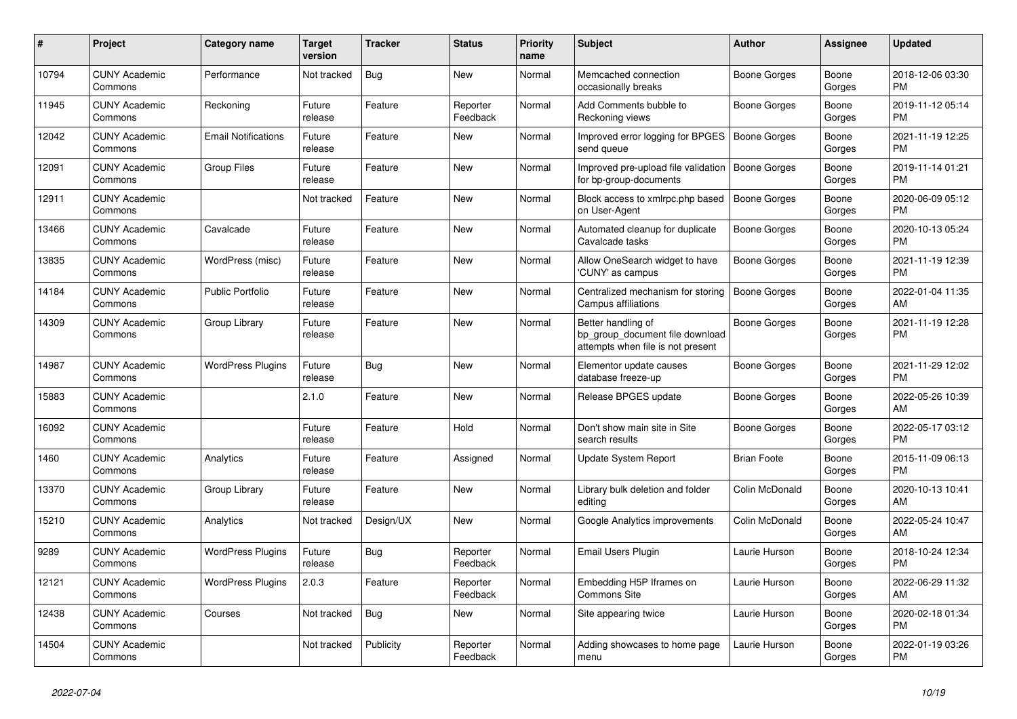| #     | <b>Project</b>                  | Category name              | <b>Target</b><br>version | <b>Tracker</b> | <b>Status</b>        | <b>Priority</b><br>name | <b>Subject</b>                                                                             | <b>Author</b>       | Assignee        | <b>Updated</b>                |
|-------|---------------------------------|----------------------------|--------------------------|----------------|----------------------|-------------------------|--------------------------------------------------------------------------------------------|---------------------|-----------------|-------------------------------|
| 10794 | <b>CUNY Academic</b><br>Commons | Performance                | Not tracked              | <b>Bug</b>     | New                  | Normal                  | Memcached connection<br>occasionally breaks                                                | Boone Gorges        | Boone<br>Gorges | 2018-12-06 03:30<br><b>PM</b> |
| 11945 | <b>CUNY Academic</b><br>Commons | Reckoning                  | Future<br>release        | Feature        | Reporter<br>Feedback | Normal                  | Add Comments bubble to<br>Reckoning views                                                  | Boone Gorges        | Boone<br>Gorges | 2019-11-12 05:14<br><b>PM</b> |
| 12042 | <b>CUNY Academic</b><br>Commons | <b>Email Notifications</b> | Future<br>release        | Feature        | New                  | Normal                  | Improved error logging for BPGES<br>send queue                                             | <b>Boone Gorges</b> | Boone<br>Gorges | 2021-11-19 12:25<br><b>PM</b> |
| 12091 | <b>CUNY Academic</b><br>Commons | <b>Group Files</b>         | Future<br>release        | Feature        | <b>New</b>           | Normal                  | Improved pre-upload file validation<br>for bp-group-documents                              | <b>Boone Gorges</b> | Boone<br>Gorges | 2019-11-14 01:21<br><b>PM</b> |
| 12911 | <b>CUNY Academic</b><br>Commons |                            | Not tracked              | Feature        | New                  | Normal                  | Block access to xmlrpc.php based<br>on User-Agent                                          | <b>Boone Gorges</b> | Boone<br>Gorges | 2020-06-09 05:12<br><b>PM</b> |
| 13466 | <b>CUNY Academic</b><br>Commons | Cavalcade                  | Future<br>release        | Feature        | New                  | Normal                  | Automated cleanup for duplicate<br>Cavalcade tasks                                         | Boone Gorges        | Boone<br>Gorges | 2020-10-13 05:24<br><b>PM</b> |
| 13835 | <b>CUNY Academic</b><br>Commons | WordPress (misc)           | Future<br>release        | Feature        | <b>New</b>           | Normal                  | Allow OneSearch widget to have<br>'CUNY' as campus                                         | Boone Gorges        | Boone<br>Gorges | 2021-11-19 12:39<br><b>PM</b> |
| 14184 | <b>CUNY Academic</b><br>Commons | Public Portfolio           | Future<br>release        | Feature        | <b>New</b>           | Normal                  | Centralized mechanism for storing<br>Campus affiliations                                   | <b>Boone Gorges</b> | Boone<br>Gorges | 2022-01-04 11:35<br>AM        |
| 14309 | <b>CUNY Academic</b><br>Commons | Group Library              | Future<br>release        | Feature        | New                  | Normal                  | Better handling of<br>bp group document file download<br>attempts when file is not present | Boone Gorges        | Boone<br>Gorges | 2021-11-19 12:28<br><b>PM</b> |
| 14987 | <b>CUNY Academic</b><br>Commons | <b>WordPress Plugins</b>   | Future<br>release        | Bug            | <b>New</b>           | Normal                  | Elementor update causes<br>database freeze-up                                              | Boone Gorges        | Boone<br>Gorges | 2021-11-29 12:02<br><b>PM</b> |
| 15883 | <b>CUNY Academic</b><br>Commons |                            | 2.1.0                    | Feature        | New                  | Normal                  | Release BPGES update                                                                       | Boone Gorges        | Boone<br>Gorges | 2022-05-26 10:39<br>AM        |
| 16092 | <b>CUNY Academic</b><br>Commons |                            | Future<br>release        | Feature        | Hold                 | Normal                  | Don't show main site in Site<br>search results                                             | Boone Gorges        | Boone<br>Gorges | 2022-05-17 03:12<br><b>PM</b> |
| 1460  | <b>CUNY Academic</b><br>Commons | Analytics                  | Future<br>release        | Feature        | Assigned             | Normal                  | Update System Report                                                                       | <b>Brian Foote</b>  | Boone<br>Gorges | 2015-11-09 06:13<br><b>PM</b> |
| 13370 | <b>CUNY Academic</b><br>Commons | Group Library              | Future<br>release        | Feature        | New                  | Normal                  | Library bulk deletion and folder<br>editing                                                | Colin McDonald      | Boone<br>Gorges | 2020-10-13 10:41<br>AM        |
| 15210 | <b>CUNY Academic</b><br>Commons | Analytics                  | Not tracked              | Design/UX      | New                  | Normal                  | Google Analytics improvements                                                              | Colin McDonald      | Boone<br>Gorges | 2022-05-24 10:47<br>AM        |
| 9289  | <b>CUNY Academic</b><br>Commons | <b>WordPress Plugins</b>   | Future<br>release        | Bug            | Reporter<br>Feedback | Normal                  | Email Users Plugin                                                                         | Laurie Hurson       | Boone<br>Gorges | 2018-10-24 12:34<br><b>PM</b> |
| 12121 | <b>CUNY Academic</b><br>Commons | <b>WordPress Plugins</b>   | 2.0.3                    | Feature        | Reporter<br>Feedback | Normal                  | Embedding H5P Iframes on<br><b>Commons Site</b>                                            | Laurie Hurson       | Boone<br>Gorges | 2022-06-29 11:32<br>AM        |
| 12438 | <b>CUNY Academic</b><br>Commons | Courses                    | Not tracked              | Bug            | New                  | Normal                  | Site appearing twice                                                                       | Laurie Hurson       | Boone<br>Gorges | 2020-02-18 01:34<br><b>PM</b> |
| 14504 | <b>CUNY Academic</b><br>Commons |                            | Not tracked              | Publicity      | Reporter<br>Feedback | Normal                  | Adding showcases to home page<br>menu                                                      | Laurie Hurson       | Boone<br>Gorges | 2022-01-19 03:26<br><b>PM</b> |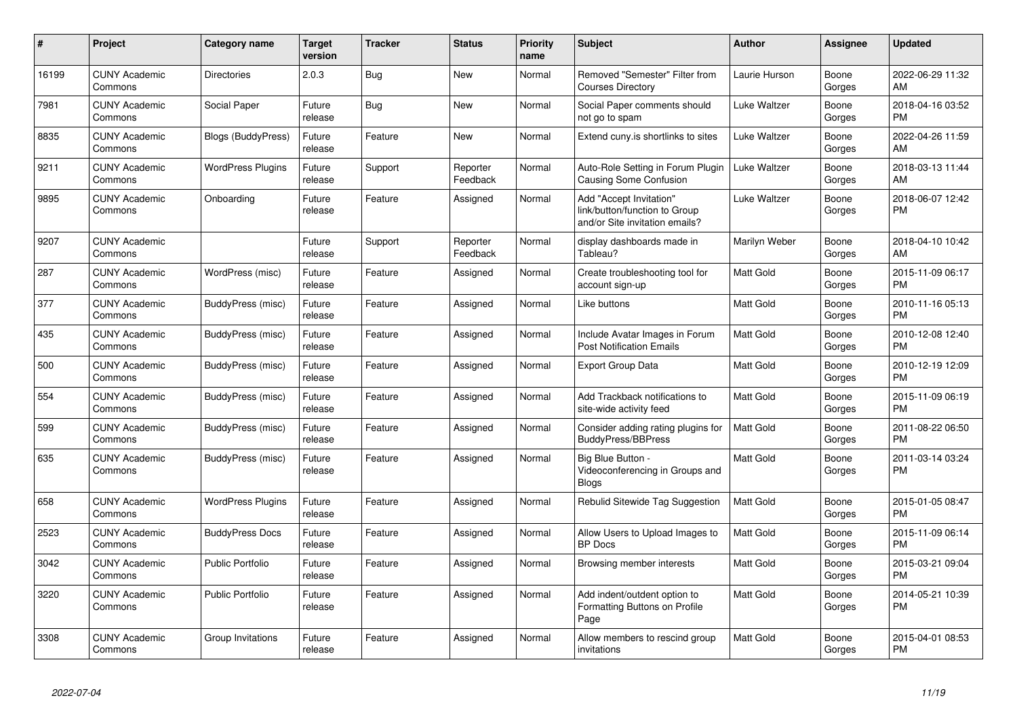| #     | <b>Project</b>                  | Category name            | <b>Target</b><br>version | <b>Tracker</b> | <b>Status</b>        | <b>Priority</b><br>name | <b>Subject</b>                                                                             | <b>Author</b>    | Assignee        | <b>Updated</b>                |
|-------|---------------------------------|--------------------------|--------------------------|----------------|----------------------|-------------------------|--------------------------------------------------------------------------------------------|------------------|-----------------|-------------------------------|
| 16199 | <b>CUNY Academic</b><br>Commons | <b>Directories</b>       | 2.0.3                    | Bug            | <b>New</b>           | Normal                  | Removed "Semester" Filter from<br><b>Courses Directory</b>                                 | Laurie Hurson    | Boone<br>Gorges | 2022-06-29 11:32<br>AM        |
| 7981  | <b>CUNY Academic</b><br>Commons | Social Paper             | Future<br>release        | <b>Bug</b>     | <b>New</b>           | Normal                  | Social Paper comments should<br>not go to spam                                             | Luke Waltzer     | Boone<br>Gorges | 2018-04-16 03:52<br><b>PM</b> |
| 8835  | <b>CUNY Academic</b><br>Commons | Blogs (BuddyPress)       | Future<br>release        | Feature        | New                  | Normal                  | Extend cuny.is shortlinks to sites                                                         | Luke Waltzer     | Boone<br>Gorges | 2022-04-26 11:59<br>AM        |
| 9211  | <b>CUNY Academic</b><br>Commons | <b>WordPress Plugins</b> | Future<br>release        | Support        | Reporter<br>Feedback | Normal                  | Auto-Role Setting in Forum Plugin<br><b>Causing Some Confusion</b>                         | Luke Waltzer     | Boone<br>Gorges | 2018-03-13 11:44<br>AM        |
| 9895  | <b>CUNY Academic</b><br>Commons | Onboarding               | Future<br>release        | Feature        | Assigned             | Normal                  | Add "Accept Invitation"<br>link/button/function to Group<br>and/or Site invitation emails? | Luke Waltzer     | Boone<br>Gorges | 2018-06-07 12:42<br><b>PM</b> |
| 9207  | <b>CUNY Academic</b><br>Commons |                          | Future<br>release        | Support        | Reporter<br>Feedback | Normal                  | display dashboards made in<br>Tableau?                                                     | Marilyn Weber    | Boone<br>Gorges | 2018-04-10 10:42<br>AM        |
| 287   | <b>CUNY Academic</b><br>Commons | WordPress (misc)         | Future<br>release        | Feature        | Assigned             | Normal                  | Create troubleshooting tool for<br>account sign-up                                         | Matt Gold        | Boone<br>Gorges | 2015-11-09 06:17<br>PM        |
| 377   | <b>CUNY Academic</b><br>Commons | BuddyPress (misc)        | Future<br>release        | Feature        | Assigned             | Normal                  | Like buttons                                                                               | Matt Gold        | Boone<br>Gorges | 2010-11-16 05:13<br><b>PM</b> |
| 435   | <b>CUNY Academic</b><br>Commons | BuddyPress (misc)        | Future<br>release        | Feature        | Assigned             | Normal                  | Include Avatar Images in Forum<br><b>Post Notification Emails</b>                          | Matt Gold        | Boone<br>Gorges | 2010-12-08 12:40<br><b>PM</b> |
| 500   | <b>CUNY Academic</b><br>Commons | BuddyPress (misc)        | Future<br>release        | Feature        | Assigned             | Normal                  | <b>Export Group Data</b>                                                                   | <b>Matt Gold</b> | Boone<br>Gorges | 2010-12-19 12:09<br><b>PM</b> |
| 554   | <b>CUNY Academic</b><br>Commons | BuddyPress (misc)        | Future<br>release        | Feature        | Assigned             | Normal                  | Add Trackback notifications to<br>site-wide activity feed                                  | Matt Gold        | Boone<br>Gorges | 2015-11-09 06:19<br><b>PM</b> |
| 599   | <b>CUNY Academic</b><br>Commons | BuddyPress (misc)        | Future<br>release        | Feature        | Assigned             | Normal                  | Consider adding rating plugins for<br><b>BuddyPress/BBPress</b>                            | <b>Matt Gold</b> | Boone<br>Gorges | 2011-08-22 06:50<br><b>PM</b> |
| 635   | <b>CUNY Academic</b><br>Commons | BuddyPress (misc)        | Future<br>release        | Feature        | Assigned             | Normal                  | Big Blue Button -<br>Videoconferencing in Groups and<br><b>Blogs</b>                       | Matt Gold        | Boone<br>Gorges | 2011-03-14 03:24<br><b>PM</b> |
| 658   | <b>CUNY Academic</b><br>Commons | <b>WordPress Plugins</b> | Future<br>release        | Feature        | Assigned             | Normal                  | Rebulid Sitewide Tag Suggestion                                                            | Matt Gold        | Boone<br>Gorges | 2015-01-05 08:47<br><b>PM</b> |
| 2523  | <b>CUNY Academic</b><br>Commons | <b>BuddyPress Docs</b>   | Future<br>release        | Feature        | Assigned             | Normal                  | Allow Users to Upload Images to<br><b>BP</b> Docs                                          | <b>Matt Gold</b> | Boone<br>Gorges | 2015-11-09 06:14<br><b>PM</b> |
| 3042  | <b>CUNY Academic</b><br>Commons | Public Portfolio         | Future<br>release        | Feature        | Assigned             | Normal                  | Browsing member interests                                                                  | <b>Matt Gold</b> | Boone<br>Gorges | 2015-03-21 09:04<br><b>PM</b> |
| 3220  | <b>CUNY Academic</b><br>Commons | <b>Public Portfolio</b>  | Future<br>release        | Feature        | Assigned             | Normal                  | Add indent/outdent option to<br>Formatting Buttons on Profile<br>Page                      | Matt Gold        | Boone<br>Gorges | 2014-05-21 10:39<br>PM        |
| 3308  | <b>CUNY Academic</b><br>Commons | Group Invitations        | Future<br>release        | Feature        | Assigned             | Normal                  | Allow members to rescind group<br>invitations                                              | Matt Gold        | Boone<br>Gorges | 2015-04-01 08:53<br><b>PM</b> |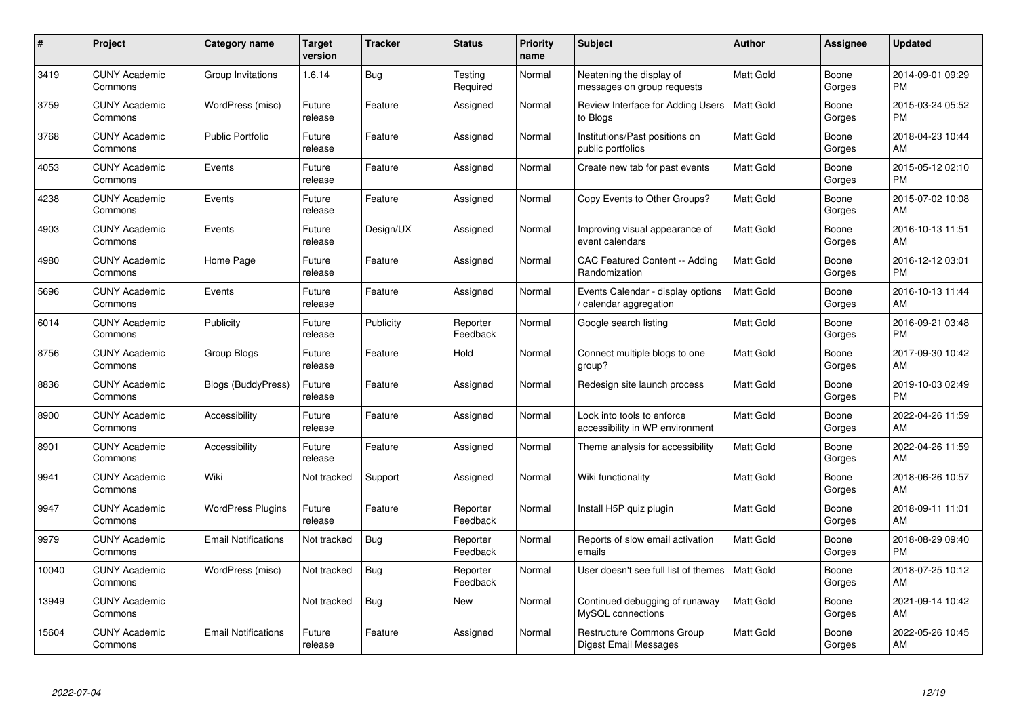| $\#$  | Project                         | <b>Category name</b>       | <b>Target</b><br>version | <b>Tracker</b> | <b>Status</b>        | <b>Priority</b><br>name | <b>Subject</b>                                                   | <b>Author</b>    | <b>Assignee</b> | <b>Updated</b>                |
|-------|---------------------------------|----------------------------|--------------------------|----------------|----------------------|-------------------------|------------------------------------------------------------------|------------------|-----------------|-------------------------------|
| 3419  | <b>CUNY Academic</b><br>Commons | Group Invitations          | 1.6.14                   | <b>Bug</b>     | Testing<br>Required  | Normal                  | Neatening the display of<br>messages on group requests           | <b>Matt Gold</b> | Boone<br>Gorges | 2014-09-01 09:29<br><b>PM</b> |
| 3759  | <b>CUNY Academic</b><br>Commons | WordPress (misc)           | Future<br>release        | Feature        | Assigned             | Normal                  | Review Interface for Adding Users<br>to Blogs                    | <b>Matt Gold</b> | Boone<br>Gorges | 2015-03-24 05:52<br><b>PM</b> |
| 3768  | <b>CUNY Academic</b><br>Commons | Public Portfolio           | Future<br>release        | Feature        | Assigned             | Normal                  | Institutions/Past positions on<br>public portfolios              | Matt Gold        | Boone<br>Gorges | 2018-04-23 10:44<br>AM        |
| 4053  | <b>CUNY Academic</b><br>Commons | Events                     | Future<br>release        | Feature        | Assigned             | Normal                  | Create new tab for past events                                   | <b>Matt Gold</b> | Boone<br>Gorges | 2015-05-12 02:10<br><b>PM</b> |
| 4238  | <b>CUNY Academic</b><br>Commons | Events                     | Future<br>release        | Feature        | Assigned             | Normal                  | Copy Events to Other Groups?                                     | <b>Matt Gold</b> | Boone<br>Gorges | 2015-07-02 10:08<br>AM        |
| 4903  | <b>CUNY Academic</b><br>Commons | Events                     | Future<br>release        | Design/UX      | Assigned             | Normal                  | Improving visual appearance of<br>event calendars                | Matt Gold        | Boone<br>Gorges | 2016-10-13 11:51<br>AM        |
| 4980  | <b>CUNY Academic</b><br>Commons | Home Page                  | Future<br>release        | Feature        | Assigned             | Normal                  | CAC Featured Content -- Adding<br>Randomization                  | Matt Gold        | Boone<br>Gorges | 2016-12-12 03:01<br><b>PM</b> |
| 5696  | <b>CUNY Academic</b><br>Commons | Events                     | Future<br>release        | Feature        | Assigned             | Normal                  | Events Calendar - display options<br>/ calendar aggregation      | <b>Matt Gold</b> | Boone<br>Gorges | 2016-10-13 11:44<br>AM        |
| 6014  | <b>CUNY Academic</b><br>Commons | Publicity                  | Future<br>release        | Publicity      | Reporter<br>Feedback | Normal                  | Google search listing                                            | <b>Matt Gold</b> | Boone<br>Gorges | 2016-09-21 03:48<br><b>PM</b> |
| 8756  | <b>CUNY Academic</b><br>Commons | Group Blogs                | Future<br>release        | Feature        | Hold                 | Normal                  | Connect multiple blogs to one<br>group?                          | Matt Gold        | Boone<br>Gorges | 2017-09-30 10:42<br>AM        |
| 8836  | <b>CUNY Academic</b><br>Commons | <b>Blogs (BuddyPress)</b>  | Future<br>release        | Feature        | Assigned             | Normal                  | Redesign site launch process                                     | Matt Gold        | Boone<br>Gorges | 2019-10-03 02:49<br><b>PM</b> |
| 8900  | <b>CUNY Academic</b><br>Commons | Accessibility              | Future<br>release        | Feature        | Assigned             | Normal                  | Look into tools to enforce<br>accessibility in WP environment    | Matt Gold        | Boone<br>Gorges | 2022-04-26 11:59<br>AM        |
| 8901  | <b>CUNY Academic</b><br>Commons | Accessibility              | Future<br>release        | Feature        | Assigned             | Normal                  | Theme analysis for accessibility                                 | <b>Matt Gold</b> | Boone<br>Gorges | 2022-04-26 11:59<br>AM        |
| 9941  | <b>CUNY Academic</b><br>Commons | Wiki                       | Not tracked              | Support        | Assigned             | Normal                  | Wiki functionality                                               | Matt Gold        | Boone<br>Gorges | 2018-06-26 10:57<br>AM        |
| 9947  | <b>CUNY Academic</b><br>Commons | <b>WordPress Plugins</b>   | Future<br>release        | Feature        | Reporter<br>Feedback | Normal                  | Install H5P quiz plugin                                          | Matt Gold        | Boone<br>Gorges | 2018-09-11 11:01<br>AM        |
| 9979  | <b>CUNY Academic</b><br>Commons | <b>Email Notifications</b> | Not tracked              | Bug            | Reporter<br>Feedback | Normal                  | Reports of slow email activation<br>emails                       | <b>Matt Gold</b> | Boone<br>Gorges | 2018-08-29 09:40<br><b>PM</b> |
| 10040 | <b>CUNY Academic</b><br>Commons | WordPress (misc)           | Not tracked              | <b>Bug</b>     | Reporter<br>Feedback | Normal                  | User doesn't see full list of themes                             | Matt Gold        | Boone<br>Gorges | 2018-07-25 10:12<br>AM        |
| 13949 | <b>CUNY Academic</b><br>Commons |                            | Not tracked              | <b>Bug</b>     | New                  | Normal                  | Continued debugging of runaway<br>MySQL connections              | Matt Gold        | Boone<br>Gorges | 2021-09-14 10:42<br>AM        |
| 15604 | CUNY Academic<br>Commons        | <b>Email Notifications</b> | Future<br>release        | Feature        | Assigned             | Normal                  | <b>Restructure Commons Group</b><br><b>Digest Email Messages</b> | Matt Gold        | Boone<br>Gorges | 2022-05-26 10:45<br>AM        |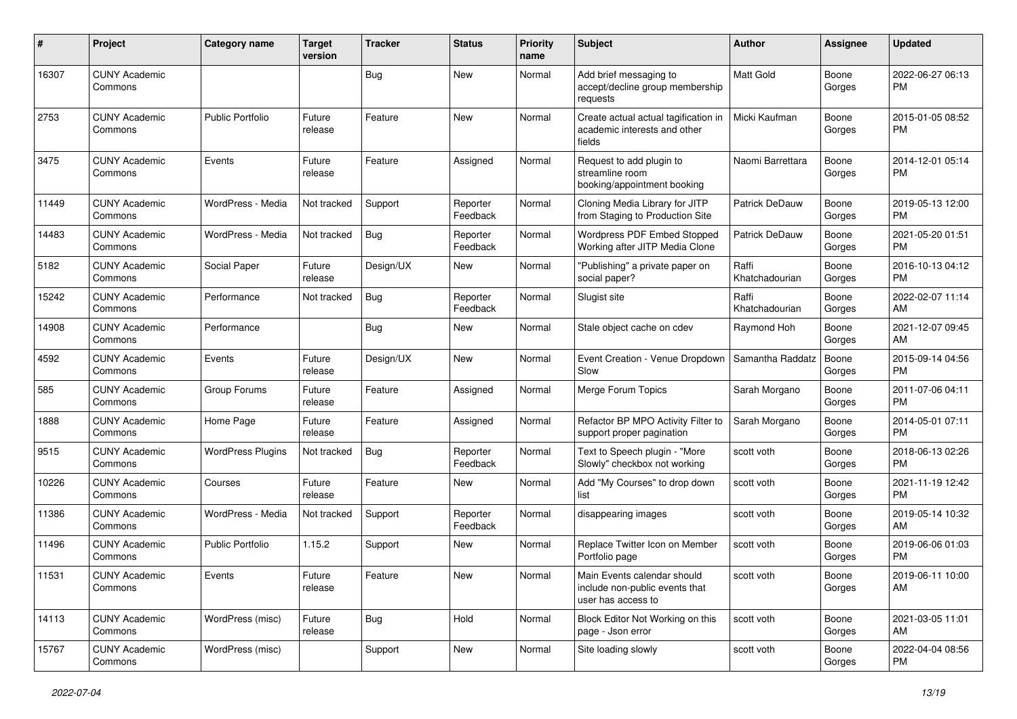| #     | Project                         | <b>Category name</b>     | Target<br>version | <b>Tracker</b> | <b>Status</b>        | <b>Priority</b><br>name | <b>Subject</b>                                                                      | <b>Author</b>           | <b>Assignee</b> | <b>Updated</b>                |
|-------|---------------------------------|--------------------------|-------------------|----------------|----------------------|-------------------------|-------------------------------------------------------------------------------------|-------------------------|-----------------|-------------------------------|
| 16307 | <b>CUNY Academic</b><br>Commons |                          |                   | Bug            | <b>New</b>           | Normal                  | Add brief messaging to<br>accept/decline group membership<br>requests               | Matt Gold               | Boone<br>Gorges | 2022-06-27 06:13<br>PM.       |
| 2753  | <b>CUNY Academic</b><br>Commons | <b>Public Portfolio</b>  | Future<br>release | Feature        | <b>New</b>           | Normal                  | Create actual actual tagification in<br>academic interests and other<br>fields      | Micki Kaufman           | Boone<br>Gorges | 2015-01-05 08:52<br>PM.       |
| 3475  | <b>CUNY Academic</b><br>Commons | Events                   | Future<br>release | Feature        | Assigned             | Normal                  | Request to add plugin to<br>streamline room<br>booking/appointment booking          | Naomi Barrettara        | Boone<br>Gorges | 2014-12-01 05:14<br>PM.       |
| 11449 | <b>CUNY Academic</b><br>Commons | WordPress - Media        | Not tracked       | Support        | Reporter<br>Feedback | Normal                  | Cloning Media Library for JITP<br>from Staging to Production Site                   | Patrick DeDauw          | Boone<br>Gorges | 2019-05-13 12:00<br>PM        |
| 14483 | <b>CUNY Academic</b><br>Commons | WordPress - Media        | Not tracked       | Bug            | Reporter<br>Feedback | Normal                  | Wordpress PDF Embed Stopped<br>Working after JITP Media Clone                       | Patrick DeDauw          | Boone<br>Gorges | 2021-05-20 01:51<br><b>PM</b> |
| 5182  | <b>CUNY Academic</b><br>Commons | Social Paper             | Future<br>release | Design/UX      | New                  | Normal                  | "Publishing" a private paper on<br>social paper?                                    | Raffi<br>Khatchadourian | Boone<br>Gorges | 2016-10-13 04:12<br><b>PM</b> |
| 15242 | <b>CUNY Academic</b><br>Commons | Performance              | Not tracked       | Bug            | Reporter<br>Feedback | Normal                  | Slugist site                                                                        | Raffi<br>Khatchadourian | Boone<br>Gorges | 2022-02-07 11:14<br>AM        |
| 14908 | <b>CUNY Academic</b><br>Commons | Performance              |                   | Bug            | New                  | Normal                  | Stale object cache on cdev                                                          | Raymond Hoh             | Boone<br>Gorges | 2021-12-07 09:45<br>AM        |
| 4592  | <b>CUNY Academic</b><br>Commons | Events                   | Future<br>release | Design/UX      | New                  | Normal                  | Event Creation - Venue Dropdown<br>Slow                                             | Samantha Raddatz        | Boone<br>Gorges | 2015-09-14 04:56<br><b>PM</b> |
| 585   | <b>CUNY Academic</b><br>Commons | Group Forums             | Future<br>release | Feature        | Assigned             | Normal                  | Merge Forum Topics                                                                  | Sarah Morgano           | Boone<br>Gorges | 2011-07-06 04:11<br><b>PM</b> |
| 1888  | <b>CUNY Academic</b><br>Commons | Home Page                | Future<br>release | Feature        | Assigned             | Normal                  | Refactor BP MPO Activity Filter to<br>support proper pagination                     | Sarah Morgano           | Boone<br>Gorges | 2014-05-01 07:11<br>PM        |
| 9515  | <b>CUNY Academic</b><br>Commons | <b>WordPress Plugins</b> | Not tracked       | Bug            | Reporter<br>Feedback | Normal                  | Text to Speech plugin - "More<br>Slowly" checkbox not working                       | scott voth              | Boone<br>Gorges | 2018-06-13 02:26<br><b>PM</b> |
| 10226 | <b>CUNY Academic</b><br>Commons | Courses                  | Future<br>release | Feature        | New                  | Normal                  | Add "My Courses" to drop down<br>list                                               | scott voth              | Boone<br>Gorges | 2021-11-19 12:42<br><b>PM</b> |
| 11386 | <b>CUNY Academic</b><br>Commons | WordPress - Media        | Not tracked       | Support        | Reporter<br>Feedback | Normal                  | disappearing images                                                                 | scott voth              | Boone<br>Gorges | 2019-05-14 10:32<br>AM        |
| 11496 | <b>CUNY Academic</b><br>Commons | Public Portfolio         | 1.15.2            | Support        | New                  | Normal                  | Replace Twitter Icon on Member<br>Portfolio page                                    | scott voth              | Boone<br>Gorges | 2019-06-06 01:03<br><b>PM</b> |
| 11531 | <b>CUNY Academic</b><br>Commons | Events                   | Future<br>release | Feature        | New                  | Normal                  | Main Events calendar should<br>include non-public events that<br>user has access to | scott voth              | Boone<br>Gorges | 2019-06-11 10:00<br>AM        |
| 14113 | <b>CUNY Academic</b><br>Commons | WordPress (misc)         | Future<br>release | Bug            | Hold                 | Normal                  | Block Editor Not Working on this<br>page - Json error                               | scott voth              | Boone<br>Gorges | 2021-03-05 11:01<br>AM        |
| 15767 | <b>CUNY Academic</b><br>Commons | WordPress (misc)         |                   | Support        | New                  | Normal                  | Site loading slowly                                                                 | scott voth              | Boone<br>Gorges | 2022-04-04 08:56<br>PM        |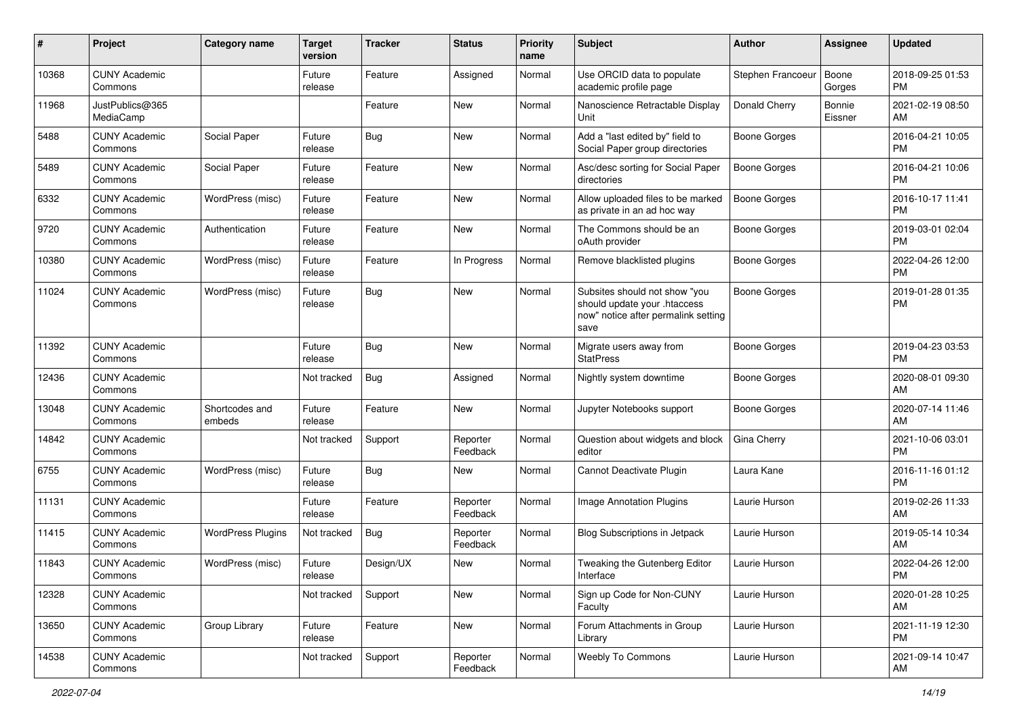| #     | Project                         | Category name            | <b>Target</b><br>version | <b>Tracker</b> | <b>Status</b>        | <b>Priority</b><br>name | <b>Subject</b>                                                                                               | Author              | <b>Assignee</b>   | <b>Updated</b>                |
|-------|---------------------------------|--------------------------|--------------------------|----------------|----------------------|-------------------------|--------------------------------------------------------------------------------------------------------------|---------------------|-------------------|-------------------------------|
| 10368 | <b>CUNY Academic</b><br>Commons |                          | Future<br>release        | Feature        | Assigned             | Normal                  | Use ORCID data to populate<br>academic profile page                                                          | Stephen Francoeur   | Boone<br>Gorges   | 2018-09-25 01:53<br><b>PM</b> |
| 11968 | JustPublics@365<br>MediaCamp    |                          |                          | Feature        | New                  | Normal                  | Nanoscience Retractable Display<br>Unit                                                                      | Donald Cherry       | Bonnie<br>Eissner | 2021-02-19 08:50<br>AM        |
| 5488  | <b>CUNY Academic</b><br>Commons | Social Paper             | Future<br>release        | Bug            | New                  | Normal                  | Add a "last edited by" field to<br>Social Paper group directories                                            | Boone Gorges        |                   | 2016-04-21 10:05<br><b>PM</b> |
| 5489  | <b>CUNY Academic</b><br>Commons | Social Paper             | Future<br>release        | Feature        | New                  | Normal                  | Asc/desc sorting for Social Paper<br>directories                                                             | Boone Gorges        |                   | 2016-04-21 10:06<br><b>PM</b> |
| 6332  | <b>CUNY Academic</b><br>Commons | WordPress (misc)         | Future<br>release        | Feature        | New                  | Normal                  | Allow uploaded files to be marked<br>as private in an ad hoc way                                             | Boone Gorges        |                   | 2016-10-17 11:41<br><b>PM</b> |
| 9720  | <b>CUNY Academic</b><br>Commons | Authentication           | Future<br>release        | Feature        | New                  | Normal                  | The Commons should be an<br>oAuth provider                                                                   | Boone Gorges        |                   | 2019-03-01 02:04<br><b>PM</b> |
| 10380 | <b>CUNY Academic</b><br>Commons | WordPress (misc)         | Future<br>release        | Feature        | In Progress          | Normal                  | Remove blacklisted plugins                                                                                   | <b>Boone Gorges</b> |                   | 2022-04-26 12:00<br><b>PM</b> |
| 11024 | <b>CUNY Academic</b><br>Commons | WordPress (misc)         | Future<br>release        | Bug            | New                  | Normal                  | Subsites should not show "you<br>should update your .htaccess<br>now" notice after permalink setting<br>save | <b>Boone Gorges</b> |                   | 2019-01-28 01:35<br>PM.       |
| 11392 | <b>CUNY Academic</b><br>Commons |                          | Future<br>release        | Bug            | <b>New</b>           | Normal                  | Migrate users away from<br><b>StatPress</b>                                                                  | <b>Boone Gorges</b> |                   | 2019-04-23 03:53<br><b>PM</b> |
| 12436 | <b>CUNY Academic</b><br>Commons |                          | Not tracked              | Bug            | Assigned             | Normal                  | Nightly system downtime                                                                                      | Boone Gorges        |                   | 2020-08-01 09:30<br>AM        |
| 13048 | <b>CUNY Academic</b><br>Commons | Shortcodes and<br>embeds | Future<br>release        | Feature        | New                  | Normal                  | Jupyter Notebooks support                                                                                    | <b>Boone Gorges</b> |                   | 2020-07-14 11:46<br>AM        |
| 14842 | <b>CUNY Academic</b><br>Commons |                          | Not tracked              | Support        | Reporter<br>Feedback | Normal                  | Question about widgets and block<br>editor                                                                   | Gina Cherry         |                   | 2021-10-06 03:01<br><b>PM</b> |
| 6755  | <b>CUNY Academic</b><br>Commons | WordPress (misc)         | Future<br>release        | Bug            | New                  | Normal                  | Cannot Deactivate Plugin                                                                                     | Laura Kane          |                   | 2016-11-16 01:12<br><b>PM</b> |
| 11131 | <b>CUNY Academic</b><br>Commons |                          | Future<br>release        | Feature        | Reporter<br>Feedback | Normal                  | <b>Image Annotation Plugins</b>                                                                              | Laurie Hurson       |                   | 2019-02-26 11:33<br>AM        |
| 11415 | <b>CUNY Academic</b><br>Commons | <b>WordPress Plugins</b> | Not tracked              | Bug            | Reporter<br>Feedback | Normal                  | <b>Blog Subscriptions in Jetpack</b>                                                                         | Laurie Hurson       |                   | 2019-05-14 10:34<br>AM        |
| 11843 | <b>CUNY Academic</b><br>Commons | WordPress (misc)         | Future<br>release        | Design/UX      | New                  | Normal                  | Tweaking the Gutenberg Editor<br>Interface                                                                   | Laurie Hurson       |                   | 2022-04-26 12:00<br><b>PM</b> |
| 12328 | <b>CUNY Academic</b><br>Commons |                          | Not tracked              | Support        | New                  | Normal                  | Sign up Code for Non-CUNY<br>Faculty                                                                         | Laurie Hurson       |                   | 2020-01-28 10:25<br>AM        |
| 13650 | <b>CUNY Academic</b><br>Commons | Group Library            | Future<br>release        | Feature        | New                  | Normal                  | Forum Attachments in Group<br>Library                                                                        | Laurie Hurson       |                   | 2021-11-19 12:30<br><b>PM</b> |
| 14538 | <b>CUNY Academic</b><br>Commons |                          | Not tracked              | Support        | Reporter<br>Feedback | Normal                  | Weebly To Commons                                                                                            | Laurie Hurson       |                   | 2021-09-14 10:47<br>AM        |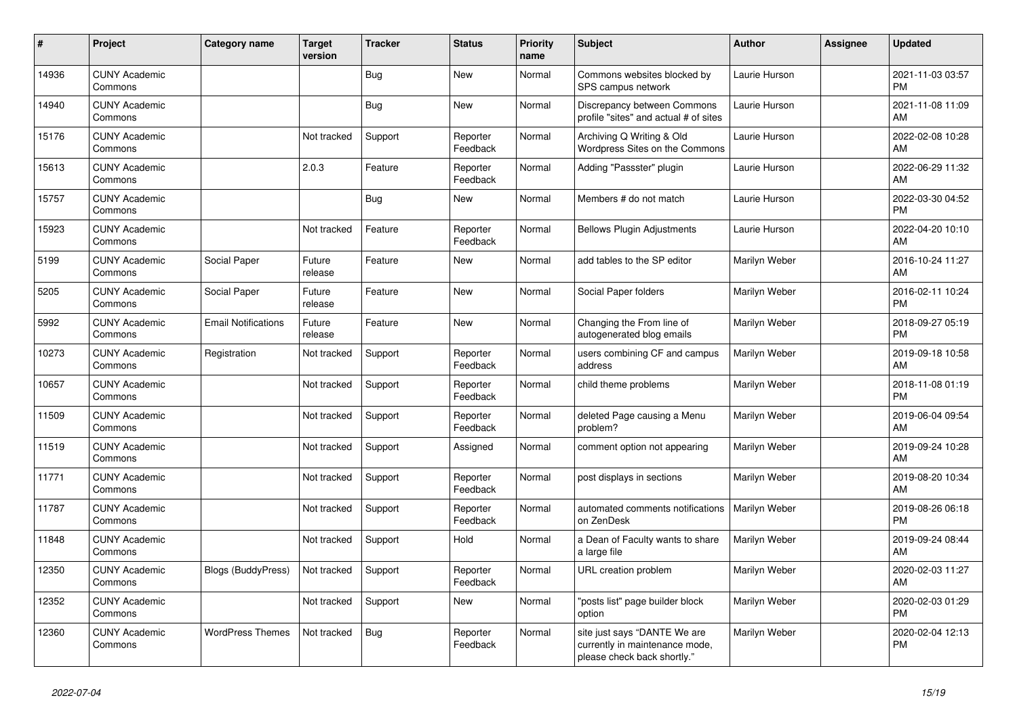| #     | Project                         | <b>Category name</b>       | <b>Target</b><br>version | <b>Tracker</b> | <b>Status</b>        | <b>Priority</b><br>name | <b>Subject</b>                                                                                | <b>Author</b> | <b>Assignee</b> | <b>Updated</b>                |
|-------|---------------------------------|----------------------------|--------------------------|----------------|----------------------|-------------------------|-----------------------------------------------------------------------------------------------|---------------|-----------------|-------------------------------|
| 14936 | <b>CUNY Academic</b><br>Commons |                            |                          | <b>Bug</b>     | New                  | Normal                  | Commons websites blocked by<br>SPS campus network                                             | Laurie Hurson |                 | 2021-11-03 03:57<br><b>PM</b> |
| 14940 | <b>CUNY Academic</b><br>Commons |                            |                          | Bug            | <b>New</b>           | Normal                  | Discrepancy between Commons<br>profile "sites" and actual # of sites                          | Laurie Hurson |                 | 2021-11-08 11:09<br>AM        |
| 15176 | <b>CUNY Academic</b><br>Commons |                            | Not tracked              | Support        | Reporter<br>Feedback | Normal                  | Archiving Q Writing & Old<br>Wordpress Sites on the Commons                                   | Laurie Hurson |                 | 2022-02-08 10:28<br><b>AM</b> |
| 15613 | <b>CUNY Academic</b><br>Commons |                            | 2.0.3                    | Feature        | Reporter<br>Feedback | Normal                  | Adding "Passster" plugin                                                                      | Laurie Hurson |                 | 2022-06-29 11:32<br>AM        |
| 15757 | <b>CUNY Academic</b><br>Commons |                            |                          | Bug            | New                  | Normal                  | Members # do not match                                                                        | Laurie Hurson |                 | 2022-03-30 04:52<br><b>PM</b> |
| 15923 | <b>CUNY Academic</b><br>Commons |                            | Not tracked              | Feature        | Reporter<br>Feedback | Normal                  | <b>Bellows Plugin Adjustments</b>                                                             | Laurie Hurson |                 | 2022-04-20 10:10<br><b>AM</b> |
| 5199  | <b>CUNY Academic</b><br>Commons | Social Paper               | Future<br>release        | Feature        | <b>New</b>           | Normal                  | add tables to the SP editor                                                                   | Marilyn Weber |                 | 2016-10-24 11:27<br>AM        |
| 5205  | <b>CUNY Academic</b><br>Commons | Social Paper               | Future<br>release        | Feature        | <b>New</b>           | Normal                  | Social Paper folders                                                                          | Marilyn Weber |                 | 2016-02-11 10:24<br><b>PM</b> |
| 5992  | <b>CUNY Academic</b><br>Commons | <b>Email Notifications</b> | Future<br>release        | Feature        | New                  | Normal                  | Changing the From line of<br>autogenerated blog emails                                        | Marilyn Weber |                 | 2018-09-27 05:19<br><b>PM</b> |
| 10273 | <b>CUNY Academic</b><br>Commons | Registration               | Not tracked              | Support        | Reporter<br>Feedback | Normal                  | users combining CF and campus<br>address                                                      | Marilyn Weber |                 | 2019-09-18 10:58<br><b>AM</b> |
| 10657 | <b>CUNY Academic</b><br>Commons |                            | Not tracked              | Support        | Reporter<br>Feedback | Normal                  | child theme problems                                                                          | Marilyn Weber |                 | 2018-11-08 01:19<br><b>PM</b> |
| 11509 | <b>CUNY Academic</b><br>Commons |                            | Not tracked              | Support        | Reporter<br>Feedback | Normal                  | deleted Page causing a Menu<br>problem?                                                       | Marilyn Weber |                 | 2019-06-04 09:54<br><b>AM</b> |
| 11519 | <b>CUNY Academic</b><br>Commons |                            | Not tracked              | Support        | Assigned             | Normal                  | comment option not appearing                                                                  | Marilyn Weber |                 | 2019-09-24 10:28<br><b>AM</b> |
| 11771 | <b>CUNY Academic</b><br>Commons |                            | Not tracked              | Support        | Reporter<br>Feedback | Normal                  | post displays in sections                                                                     | Marilyn Weber |                 | 2019-08-20 10:34<br>AM        |
| 11787 | <b>CUNY Academic</b><br>Commons |                            | Not tracked              | Support        | Reporter<br>Feedback | Normal                  | automated comments notifications<br>on ZenDesk                                                | Marilyn Weber |                 | 2019-08-26 06:18<br><b>PM</b> |
| 11848 | <b>CUNY Academic</b><br>Commons |                            | Not tracked              | Support        | Hold                 | Normal                  | a Dean of Faculty wants to share<br>a large file                                              | Marilyn Weber |                 | 2019-09-24 08:44<br>AM        |
| 12350 | <b>CUNY Academic</b><br>Commons | <b>Blogs (BuddyPress)</b>  | Not tracked              | Support        | Reporter<br>Feedback | Normal                  | URL creation problem                                                                          | Marilyn Weber |                 | 2020-02-03 11:27<br><b>AM</b> |
| 12352 | <b>CUNY Academic</b><br>Commons |                            | Not tracked              | Support        | <b>New</b>           | Normal                  | "posts list" page builder block<br>option                                                     | Marilyn Weber |                 | 2020-02-03 01:29<br><b>PM</b> |
| 12360 | <b>CUNY Academic</b><br>Commons | <b>WordPress Themes</b>    | Not tracked              | Bug            | Reporter<br>Feedback | Normal                  | site just says "DANTE We are<br>currently in maintenance mode,<br>please check back shortly." | Marilyn Weber |                 | 2020-02-04 12:13<br><b>PM</b> |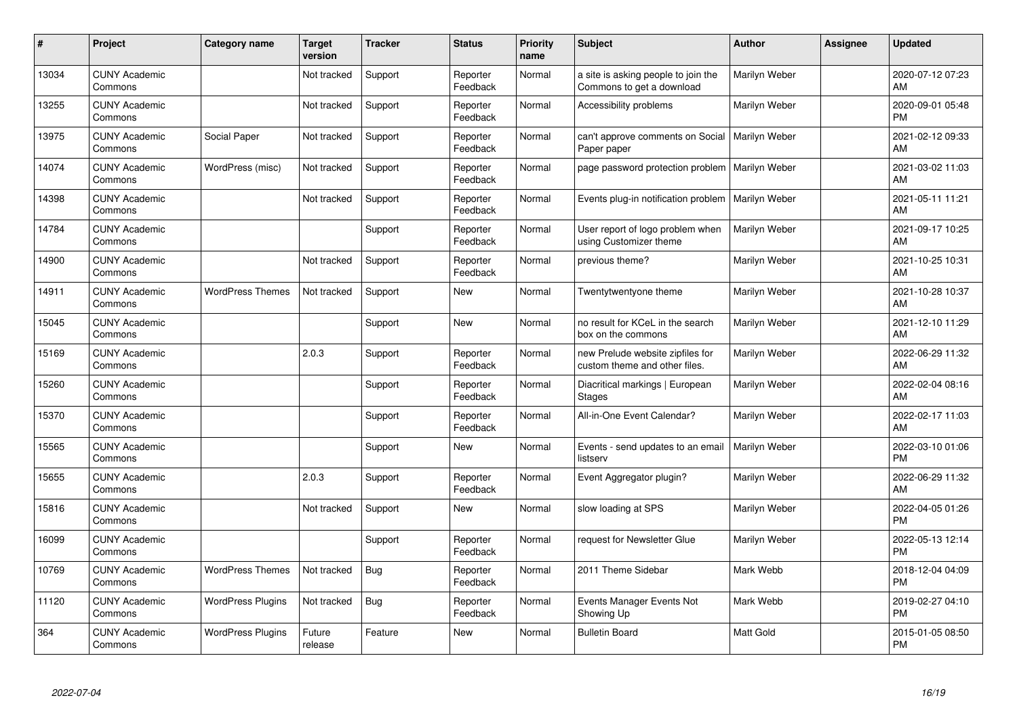| $\#$  | Project                         | <b>Category name</b>     | <b>Target</b><br>version | <b>Tracker</b> | <b>Status</b>        | <b>Priority</b><br>name | <b>Subject</b>                                                    | <b>Author</b>    | <b>Assignee</b> | <b>Updated</b>                |
|-------|---------------------------------|--------------------------|--------------------------|----------------|----------------------|-------------------------|-------------------------------------------------------------------|------------------|-----------------|-------------------------------|
| 13034 | <b>CUNY Academic</b><br>Commons |                          | Not tracked              | Support        | Reporter<br>Feedback | Normal                  | a site is asking people to join the<br>Commons to get a download  | Marilyn Weber    |                 | 2020-07-12 07:23<br>AM        |
| 13255 | <b>CUNY Academic</b><br>Commons |                          | Not tracked              | Support        | Reporter<br>Feedback | Normal                  | Accessibility problems                                            | Marilyn Weber    |                 | 2020-09-01 05:48<br><b>PM</b> |
| 13975 | <b>CUNY Academic</b><br>Commons | Social Paper             | Not tracked              | Support        | Reporter<br>Feedback | Normal                  | can't approve comments on Social<br>Paper paper                   | Marilyn Weber    |                 | 2021-02-12 09:33<br>AM        |
| 14074 | <b>CUNY Academic</b><br>Commons | WordPress (misc)         | Not tracked              | Support        | Reporter<br>Feedback | Normal                  | page password protection problem                                  | Marilyn Weber    |                 | 2021-03-02 11:03<br>AM        |
| 14398 | <b>CUNY Academic</b><br>Commons |                          | Not tracked              | Support        | Reporter<br>Feedback | Normal                  | Events plug-in notification problem                               | Marilyn Weber    |                 | 2021-05-11 11:21<br>AM        |
| 14784 | <b>CUNY Academic</b><br>Commons |                          |                          | Support        | Reporter<br>Feedback | Normal                  | User report of logo problem when<br>using Customizer theme        | Marilyn Weber    |                 | 2021-09-17 10:25<br>AM        |
| 14900 | <b>CUNY Academic</b><br>Commons |                          | Not tracked              | Support        | Reporter<br>Feedback | Normal                  | previous theme?                                                   | Marilyn Weber    |                 | 2021-10-25 10:31<br>AM        |
| 14911 | <b>CUNY Academic</b><br>Commons | <b>WordPress Themes</b>  | Not tracked              | Support        | New                  | Normal                  | Twentytwentyone theme                                             | Marilyn Weber    |                 | 2021-10-28 10:37<br>AM        |
| 15045 | <b>CUNY Academic</b><br>Commons |                          |                          | Support        | <b>New</b>           | Normal                  | no result for KCeL in the search<br>box on the commons            | Marilyn Weber    |                 | 2021-12-10 11:29<br>AM        |
| 15169 | <b>CUNY Academic</b><br>Commons |                          | 2.0.3                    | Support        | Reporter<br>Feedback | Normal                  | new Prelude website zipfiles for<br>custom theme and other files. | Marilyn Weber    |                 | 2022-06-29 11:32<br>AM        |
| 15260 | <b>CUNY Academic</b><br>Commons |                          |                          | Support        | Reporter<br>Feedback | Normal                  | Diacritical markings   European<br><b>Stages</b>                  | Marilyn Weber    |                 | 2022-02-04 08:16<br>AM        |
| 15370 | <b>CUNY Academic</b><br>Commons |                          |                          | Support        | Reporter<br>Feedback | Normal                  | All-in-One Event Calendar?                                        | Marilyn Weber    |                 | 2022-02-17 11:03<br>AM        |
| 15565 | <b>CUNY Academic</b><br>Commons |                          |                          | Support        | New                  | Normal                  | Events - send updates to an email<br>listserv                     | Marilyn Weber    |                 | 2022-03-10 01:06<br><b>PM</b> |
| 15655 | <b>CUNY Academic</b><br>Commons |                          | 2.0.3                    | Support        | Reporter<br>Feedback | Normal                  | Event Aggregator plugin?                                          | Marilyn Weber    |                 | 2022-06-29 11:32<br>AM        |
| 15816 | <b>CUNY Academic</b><br>Commons |                          | Not tracked              | Support        | <b>New</b>           | Normal                  | slow loading at SPS                                               | Marilyn Weber    |                 | 2022-04-05 01:26<br><b>PM</b> |
| 16099 | <b>CUNY Academic</b><br>Commons |                          |                          | Support        | Reporter<br>Feedback | Normal                  | request for Newsletter Glue                                       | Marilyn Weber    |                 | 2022-05-13 12:14<br><b>PM</b> |
| 10769 | <b>CUNY Academic</b><br>Commons | <b>WordPress Themes</b>  | Not tracked              | <b>Bug</b>     | Reporter<br>Feedback | Normal                  | 2011 Theme Sidebar                                                | Mark Webb        |                 | 2018-12-04 04:09<br><b>PM</b> |
| 11120 | <b>CUNY Academic</b><br>Commons | <b>WordPress Plugins</b> | Not tracked              | <b>Bug</b>     | Reporter<br>Feedback | Normal                  | Events Manager Events Not<br>Showing Up                           | Mark Webb        |                 | 2019-02-27 04:10<br><b>PM</b> |
| 364   | <b>CUNY Academic</b><br>Commons | <b>WordPress Plugins</b> | Future<br>release        | Feature        | <b>New</b>           | Normal                  | <b>Bulletin Board</b>                                             | <b>Matt Gold</b> |                 | 2015-01-05 08:50<br>PM        |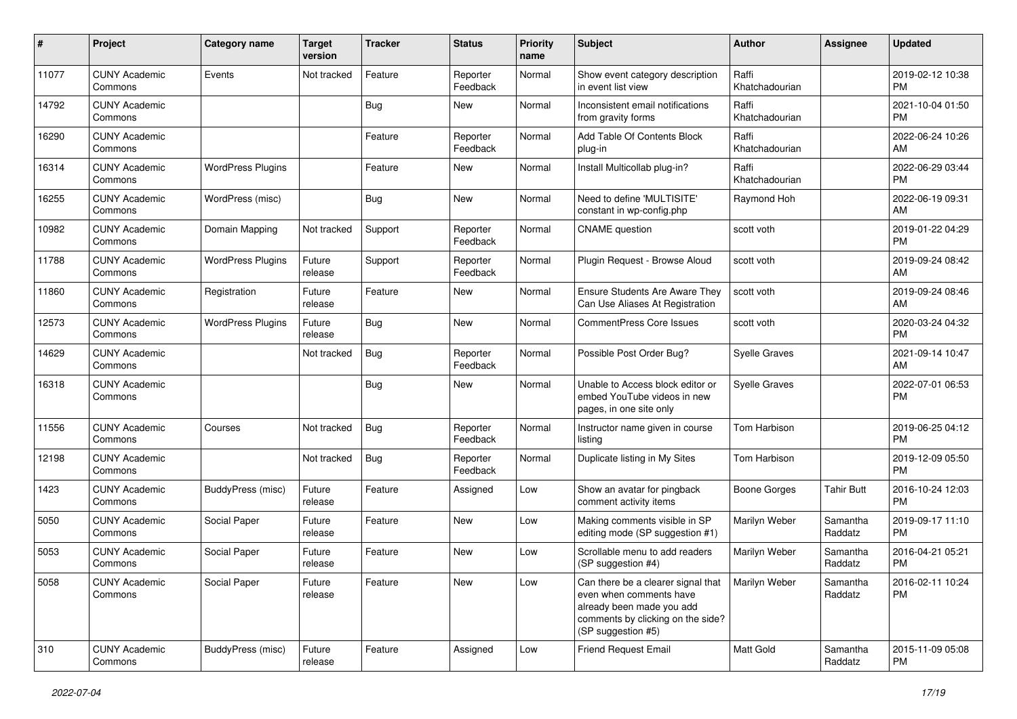| #     | Project                         | Category name            | <b>Target</b><br>version | <b>Tracker</b> | <b>Status</b>        | <b>Priority</b><br>name | <b>Subject</b>                                                                                                                                        | <b>Author</b>           | <b>Assignee</b>     | <b>Updated</b>                |
|-------|---------------------------------|--------------------------|--------------------------|----------------|----------------------|-------------------------|-------------------------------------------------------------------------------------------------------------------------------------------------------|-------------------------|---------------------|-------------------------------|
| 11077 | <b>CUNY Academic</b><br>Commons | Events                   | Not tracked              | Feature        | Reporter<br>Feedback | Normal                  | Show event category description<br>in event list view                                                                                                 | Raffi<br>Khatchadourian |                     | 2019-02-12 10:38<br><b>PM</b> |
| 14792 | <b>CUNY Academic</b><br>Commons |                          |                          | <b>Bug</b>     | New                  | Normal                  | Inconsistent email notifications<br>from gravity forms                                                                                                | Raffi<br>Khatchadourian |                     | 2021-10-04 01:50<br><b>PM</b> |
| 16290 | <b>CUNY Academic</b><br>Commons |                          |                          | Feature        | Reporter<br>Feedback | Normal                  | Add Table Of Contents Block<br>plug-in                                                                                                                | Raffi<br>Khatchadourian |                     | 2022-06-24 10:26<br>AM        |
| 16314 | <b>CUNY Academic</b><br>Commons | <b>WordPress Plugins</b> |                          | Feature        | New                  | Normal                  | Install Multicollab plug-in?                                                                                                                          | Raffi<br>Khatchadourian |                     | 2022-06-29 03:44<br><b>PM</b> |
| 16255 | <b>CUNY Academic</b><br>Commons | WordPress (misc)         |                          | Bug            | <b>New</b>           | Normal                  | Need to define 'MULTISITE'<br>constant in wp-config.php                                                                                               | Raymond Hoh             |                     | 2022-06-19 09:31<br>AM        |
| 10982 | <b>CUNY Academic</b><br>Commons | Domain Mapping           | Not tracked              | Support        | Reporter<br>Feedback | Normal                  | <b>CNAME</b> question                                                                                                                                 | scott voth              |                     | 2019-01-22 04:29<br><b>PM</b> |
| 11788 | <b>CUNY Academic</b><br>Commons | <b>WordPress Plugins</b> | Future<br>release        | Support        | Reporter<br>Feedback | Normal                  | Plugin Request - Browse Aloud                                                                                                                         | scott voth              |                     | 2019-09-24 08:42<br>AM        |
| 11860 | <b>CUNY Academic</b><br>Commons | Registration             | Future<br>release        | Feature        | <b>New</b>           | Normal                  | <b>Ensure Students Are Aware They</b><br>Can Use Aliases At Registration                                                                              | scott voth              |                     | 2019-09-24 08:46<br>AM        |
| 12573 | <b>CUNY Academic</b><br>Commons | <b>WordPress Plugins</b> | Future<br>release        | <b>Bug</b>     | New                  | Normal                  | <b>CommentPress Core Issues</b>                                                                                                                       | scott voth              |                     | 2020-03-24 04:32<br><b>PM</b> |
| 14629 | <b>CUNY Academic</b><br>Commons |                          | Not tracked              | Bug            | Reporter<br>Feedback | Normal                  | Possible Post Order Bug?                                                                                                                              | <b>Syelle Graves</b>    |                     | 2021-09-14 10:47<br>AM        |
| 16318 | <b>CUNY Academic</b><br>Commons |                          |                          | Bug            | New                  | Normal                  | Unable to Access block editor or<br>embed YouTube videos in new<br>pages, in one site only                                                            | <b>Syelle Graves</b>    |                     | 2022-07-01 06:53<br><b>PM</b> |
| 11556 | <b>CUNY Academic</b><br>Commons | Courses                  | Not tracked              | Bug            | Reporter<br>Feedback | Normal                  | Instructor name given in course<br>listing                                                                                                            | Tom Harbison            |                     | 2019-06-25 04:12<br><b>PM</b> |
| 12198 | <b>CUNY Academic</b><br>Commons |                          | Not tracked              | <b>Bug</b>     | Reporter<br>Feedback | Normal                  | Duplicate listing in My Sites                                                                                                                         | Tom Harbison            |                     | 2019-12-09 05:50<br><b>PM</b> |
| 1423  | <b>CUNY Academic</b><br>Commons | BuddyPress (misc)        | Future<br>release        | Feature        | Assigned             | Low                     | Show an avatar for pingback<br>comment activity items                                                                                                 | <b>Boone Gorges</b>     | <b>Tahir Butt</b>   | 2016-10-24 12:03<br><b>PM</b> |
| 5050  | <b>CUNY Academic</b><br>Commons | Social Paper             | Future<br>release        | Feature        | <b>New</b>           | Low                     | Making comments visible in SP<br>editing mode (SP suggestion #1)                                                                                      | Marilyn Weber           | Samantha<br>Raddatz | 2019-09-17 11:10<br><b>PM</b> |
| 5053  | <b>CUNY Academic</b><br>Commons | Social Paper             | Future<br>release        | Feature        | New                  | Low                     | Scrollable menu to add readers<br>(SP suggestion #4)                                                                                                  | Marilyn Weber           | Samantha<br>Raddatz | 2016-04-21 05:21<br><b>PM</b> |
| 5058  | <b>CUNY Academic</b><br>Commons | Social Paper             | Future<br>release        | Feature        | New                  | Low                     | Can there be a clearer signal that<br>even when comments have<br>already been made you add<br>comments by clicking on the side?<br>(SP suggestion #5) | Marilyn Weber           | Samantha<br>Raddatz | 2016-02-11 10:24<br><b>PM</b> |
| 310   | <b>CUNY Academic</b><br>Commons | BuddyPress (misc)        | Future<br>release        | Feature        | Assigned             | Low                     | Friend Request Email                                                                                                                                  | Matt Gold               | Samantha<br>Raddatz | 2015-11-09 05:08<br>PM        |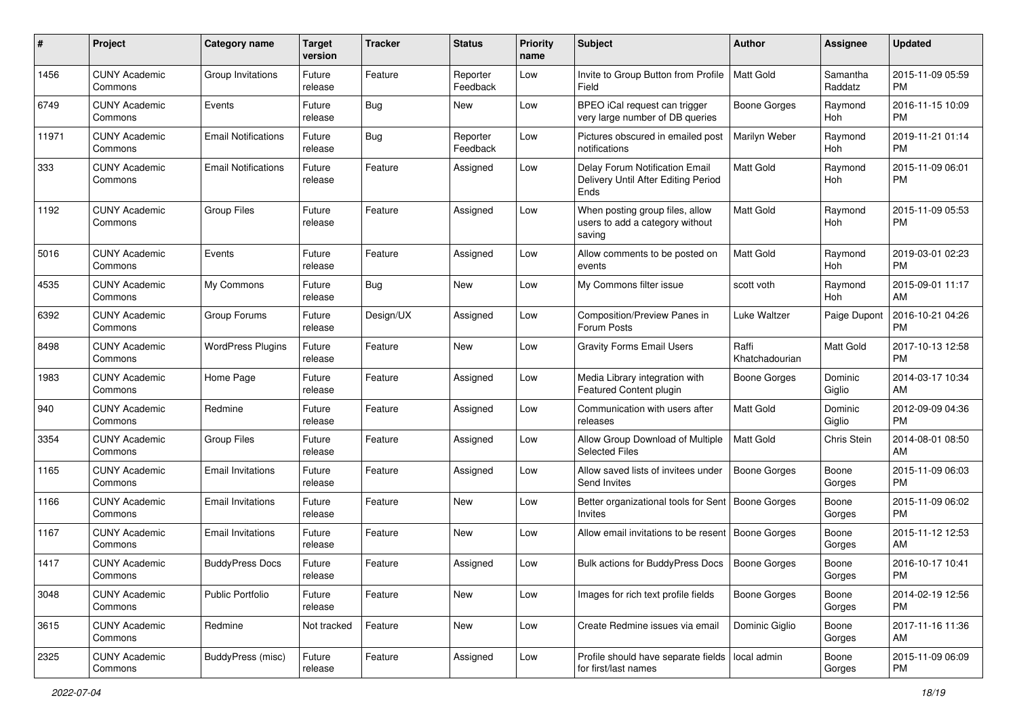| #     | Project                         | <b>Category name</b>       | <b>Target</b><br>version | <b>Tracker</b> | <b>Status</b>        | Priority<br>name | <b>Subject</b>                                                                | Author                  | <b>Assignee</b>     | <b>Updated</b>                |
|-------|---------------------------------|----------------------------|--------------------------|----------------|----------------------|------------------|-------------------------------------------------------------------------------|-------------------------|---------------------|-------------------------------|
| 1456  | <b>CUNY Academic</b><br>Commons | Group Invitations          | Future<br>release        | Feature        | Reporter<br>Feedback | Low              | Invite to Group Button from Profile<br>Field                                  | <b>Matt Gold</b>        | Samantha<br>Raddatz | 2015-11-09 05:59<br><b>PM</b> |
| 6749  | <b>CUNY Academic</b><br>Commons | Events                     | Future<br>release        | <b>Bug</b>     | New                  | Low              | BPEO iCal request can trigger<br>very large number of DB queries              | <b>Boone Gorges</b>     | Raymond<br>Hoh      | 2016-11-15 10:09<br><b>PM</b> |
| 11971 | <b>CUNY Academic</b><br>Commons | <b>Email Notifications</b> | Future<br>release        | Bug            | Reporter<br>Feedback | Low              | Pictures obscured in emailed post<br>notifications                            | Marilyn Weber           | Raymond<br>Hoh      | 2019-11-21 01:14<br><b>PM</b> |
| 333   | <b>CUNY Academic</b><br>Commons | <b>Email Notifications</b> | Future<br>release        | Feature        | Assigned             | Low              | Delay Forum Notification Email<br>Delivery Until After Editing Period<br>Ends | <b>Matt Gold</b>        | Raymond<br>Hoh      | 2015-11-09 06:01<br><b>PM</b> |
| 1192  | <b>CUNY Academic</b><br>Commons | <b>Group Files</b>         | Future<br>release        | Feature        | Assigned             | Low              | When posting group files, allow<br>users to add a category without<br>saving  | <b>Matt Gold</b>        | Raymond<br>Hoh      | 2015-11-09 05:53<br><b>PM</b> |
| 5016  | <b>CUNY Academic</b><br>Commons | Events                     | Future<br>release        | Feature        | Assigned             | Low              | Allow comments to be posted on<br>events                                      | <b>Matt Gold</b>        | Raymond<br>Hoh      | 2019-03-01 02:23<br><b>PM</b> |
| 4535  | <b>CUNY Academic</b><br>Commons | My Commons                 | Future<br>release        | Bug            | New                  | Low              | My Commons filter issue                                                       | scott voth              | Raymond<br>Hoh      | 2015-09-01 11:17<br>AM        |
| 6392  | <b>CUNY Academic</b><br>Commons | Group Forums               | Future<br>release        | Design/UX      | Assigned             | Low              | Composition/Preview Panes in<br>Forum Posts                                   | Luke Waltzer            | Paige Dupont        | 2016-10-21 04:26<br><b>PM</b> |
| 8498  | <b>CUNY Academic</b><br>Commons | <b>WordPress Plugins</b>   | Future<br>release        | Feature        | New                  | Low              | <b>Gravity Forms Email Users</b>                                              | Raffi<br>Khatchadourian | Matt Gold           | 2017-10-13 12:58<br><b>PM</b> |
| 1983  | <b>CUNY Academic</b><br>Commons | Home Page                  | Future<br>release        | Feature        | Assigned             | Low              | Media Library integration with<br>Featured Content plugin                     | <b>Boone Gorges</b>     | Dominic<br>Giglio   | 2014-03-17 10:34<br>AM        |
| 940   | <b>CUNY Academic</b><br>Commons | Redmine                    | Future<br>release        | Feature        | Assigned             | Low              | Communication with users after<br>releases                                    | <b>Matt Gold</b>        | Dominic<br>Giglio   | 2012-09-09 04:36<br><b>PM</b> |
| 3354  | <b>CUNY Academic</b><br>Commons | <b>Group Files</b>         | Future<br>release        | Feature        | Assigned             | Low              | Allow Group Download of Multiple<br><b>Selected Files</b>                     | <b>Matt Gold</b>        | Chris Stein         | 2014-08-01 08:50<br>AM        |
| 1165  | <b>CUNY Academic</b><br>Commons | <b>Email Invitations</b>   | Future<br>release        | Feature        | Assigned             | Low              | Allow saved lists of invitees under<br>Send Invites                           | <b>Boone Gorges</b>     | Boone<br>Gorges     | 2015-11-09 06:03<br><b>PM</b> |
| 1166  | <b>CUNY Academic</b><br>Commons | <b>Email Invitations</b>   | Future<br>release        | Feature        | <b>New</b>           | Low              | Better organizational tools for Sent   Boone Gorges<br><b>Invites</b>         |                         | Boone<br>Gorges     | 2015-11-09 06:02<br><b>PM</b> |
| 1167  | <b>CUNY Academic</b><br>Commons | <b>Email Invitations</b>   | Future<br>release        | Feature        | New                  | Low              | Allow email invitations to be resent   Boone Gorges                           |                         | Boone<br>Gorges     | 2015-11-12 12:53<br>AM        |
| 1417  | <b>CUNY Academic</b><br>Commons | <b>BuddyPress Docs</b>     | Future<br>release        | Feature        | Assigned             | Low              | Bulk actions for BuddyPress Docs                                              | <b>Boone Gorges</b>     | Boone<br>Gorges     | 2016-10-17 10:41<br>PM        |
| 3048  | <b>CUNY Academic</b><br>Commons | <b>Public Portfolio</b>    | Future<br>release        | Feature        | New                  | Low              | Images for rich text profile fields                                           | <b>Boone Gorges</b>     | Boone<br>Gorges     | 2014-02-19 12:56<br><b>PM</b> |
| 3615  | <b>CUNY Academic</b><br>Commons | Redmine                    | Not tracked              | Feature        | New                  | Low              | Create Redmine issues via email                                               | Dominic Giglio          | Boone<br>Gorges     | 2017-11-16 11:36<br>AM        |
| 2325  | <b>CUNY Academic</b><br>Commons | BuddyPress (misc)          | Future<br>release        | Feature        | Assigned             | Low              | Profile should have separate fields   local admin<br>for first/last names     |                         | Boone<br>Gorges     | 2015-11-09 06:09<br><b>PM</b> |